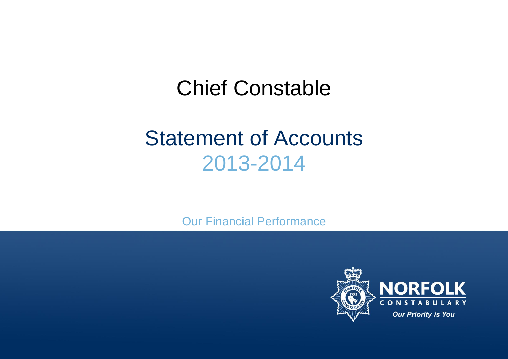# Chief Constable

# Statement of Accounts 2013-2014

Our Financial Performance

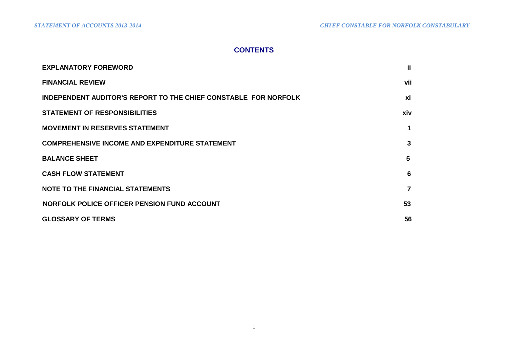# **CONTENTS**

| <b>EXPLANATORY FOREWORD</b>                                            | jj.            |
|------------------------------------------------------------------------|----------------|
| <b>FINANCIAL REVIEW</b>                                                | vii            |
| <b>INDEPENDENT AUDITOR'S REPORT TO THE CHIEF CONSTABLE FOR NORFOLK</b> | xi             |
| <b>STATEMENT OF RESPONSIBILITIES</b>                                   | xiv            |
| <b>MOVEMENT IN RESERVES STATEMENT</b>                                  | 1              |
| <b>COMPREHENSIVE INCOME AND EXPENDITURE STATEMENT</b>                  | 3              |
| <b>BALANCE SHEET</b>                                                   | 5              |
| <b>CASH FLOW STATEMENT</b>                                             | 6              |
| <b>NOTE TO THE FINANCIAL STATEMENTS</b>                                | $\overline{7}$ |
| NORFOLK POLICE OFFICER PENSION FUND ACCOUNT                            | 53             |
| <b>GLOSSARY OF TERMS</b>                                               | 56             |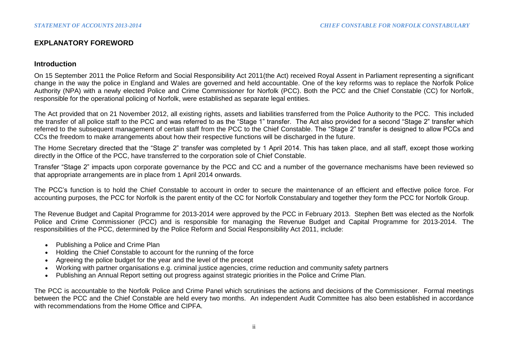# **EXPLANATORY FOREWORD**

## **Introduction**

On 15 September 2011 the Police Reform and Social Responsibility Act 2011(the Act) received Royal Assent in Parliament representing a significant change in the way the police in England and Wales are governed and held accountable. One of the key reforms was to replace the Norfolk Police Authority (NPA) with a newly elected Police and Crime Commissioner for Norfolk (PCC). Both the PCC and the Chief Constable (CC) for Norfolk, responsible for the operational policing of Norfolk, were established as separate legal entities.

The Act provided that on 21 November 2012, all existing rights, assets and liabilities transferred from the Police Authority to the PCC. This included the transfer of all police staff to the PCC and was referred to as the "Stage 1" transfer. The Act also provided for a second "Stage 2" transfer which referred to the subsequent management of certain staff from the PCC to the Chief Constable. The "Stage 2" transfer is designed to allow PCCs and CCs the freedom to make arrangements about how their respective functions will be discharged in the future.

The Home Secretary directed that the "Stage 2" transfer was completed by 1 April 2014. This has taken place, and all staff, except those working directly in the Office of the PCC, have transferred to the corporation sole of Chief Constable.

Transfer "Stage 2" impacts upon corporate governance by the PCC and CC and a number of the governance mechanisms have been reviewed so that appropriate arrangements are in place from 1 April 2014 onwards.

The PCC's function is to hold the Chief Constable to account in order to secure the maintenance of an efficient and effective police force. For accounting purposes, the PCC for Norfolk is the parent entity of the CC for Norfolk Constabulary and together they form the PCC for Norfolk Group.

The Revenue Budget and Capital Programme for 2013-2014 were approved by the PCC in February 2013. Stephen Bett was elected as the Norfolk Police and Crime Commissioner (PCC) and is responsible for managing the Revenue Budget and Capital Programme for 2013-2014. The responsibilities of the PCC, determined by the Police Reform and Social Responsibility Act 2011, include:

- Publishing a Police and Crime Plan
- Holding the Chief Constable to account for the running of the force
- Agreeing the police budget for the year and the level of the precept
- Working with partner organisations e.g. criminal justice agencies, crime reduction and community safety partners
- Publishing an Annual Report setting out progress against strategic priorities in the Police and Crime Plan.

The PCC is accountable to the Norfolk Police and Crime Panel which scrutinises the actions and decisions of the Commissioner. Formal meetings between the PCC and the Chief Constable are held every two months. An independent Audit Committee has also been established in accordance with recommendations from the Home Office and CIPFA.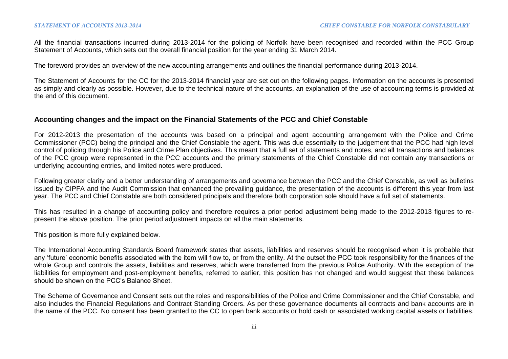All the financial transactions incurred during 2013-2014 for the policing of Norfolk have been recognised and recorded within the PCC Group Statement of Accounts, which sets out the overall financial position for the year ending 31 March 2014.

The foreword provides an overview of the new accounting arrangements and outlines the financial performance during 2013-2014.

The Statement of Accounts for the CC for the 2013-2014 financial year are set out on the following pages. Information on the accounts is presented as simply and clearly as possible. However, due to the technical nature of the accounts, an explanation of the use of accounting terms is provided at the end of this document.

## **Accounting changes and the impact on the Financial Statements of the PCC and Chief Constable**

For 2012-2013 the presentation of the accounts was based on a principal and agent accounting arrangement with the Police and Crime Commissioner (PCC) being the principal and the Chief Constable the agent. This was due essentially to the judgement that the PCC had high level control of policing through his Police and Crime Plan objectives. This meant that a full set of statements and notes, and all transactions and balances of the PCC group were represented in the PCC accounts and the primary statements of the Chief Constable did not contain any transactions or underlying accounting entries, and limited notes were produced.

Following greater clarity and a better understanding of arrangements and governance between the PCC and the Chief Constable, as well as bulletins issued by CIPFA and the Audit Commission that enhanced the prevailing guidance, the presentation of the accounts is different this year from last year. The PCC and Chief Constable are both considered principals and therefore both corporation sole should have a full set of statements.

This has resulted in a change of accounting policy and therefore requires a prior period adjustment being made to the 2012-2013 figures to represent the above position. The prior period adjustment impacts on all the main statements.

This position is more fully explained below.

The International Accounting Standards Board framework states that assets, liabilities and reserves should be recognised when it is probable that any 'future' economic benefits associated with the item will flow to, or from the entity. At the outset the PCC took responsibility for the finances of the whole Group and controls the assets, liabilities and reserves, which were transferred from the previous Police Authority. With the exception of the liabilities for employment and post-employment benefits, referred to earlier, this position has not changed and would suggest that these balances should be shown on the PCC's Balance Sheet.

The Scheme of Governance and Consent sets out the roles and responsibilities of the Police and Crime Commissioner and the Chief Constable, and also includes the Financial Regulations and Contract Standing Orders. As per these governance documents all contracts and bank accounts are in the name of the PCC. No consent has been granted to the CC to open bank accounts or hold cash or associated working capital assets or liabilities.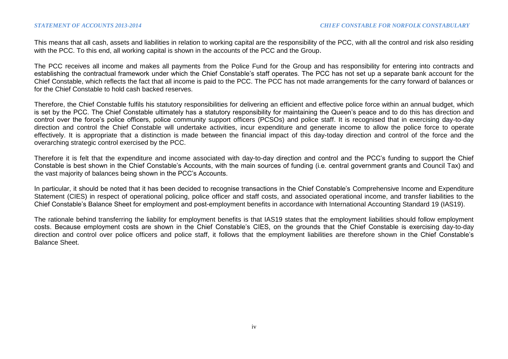This means that all cash, assets and liabilities in relation to working capital are the responsibility of the PCC, with all the control and risk also residing with the PCC. To this end, all working capital is shown in the accounts of the PCC and the Group.

The PCC receives all income and makes all payments from the Police Fund for the Group and has responsibility for entering into contracts and establishing the contractual framework under which the Chief Constable's staff operates. The PCC has not set up a separate bank account for the Chief Constable, which reflects the fact that all income is paid to the PCC. The PCC has not made arrangements for the carry forward of balances or for the Chief Constable to hold cash backed reserves.

Therefore, the Chief Constable fulfils his statutory responsibilities for delivering an efficient and effective police force within an annual budget, which is set by the PCC. The Chief Constable ultimately has a statutory responsibility for maintaining the Queen's peace and to do this has direction and control over the force's police officers, police community support officers (PCSOs) and police staff. It is recognised that in exercising day-to-day direction and control the Chief Constable will undertake activities, incur expenditure and generate income to allow the police force to operate effectively. It is appropriate that a distinction is made between the financial impact of this day-today direction and control of the force and the overarching strategic control exercised by the PCC.

Therefore it is felt that the expenditure and income associated with day-to-day direction and control and the PCC's funding to support the Chief Constable is best shown in the Chief Constable's Accounts, with the main sources of funding (i.e. central government grants and Council Tax) and the vast majority of balances being shown in the PCC's Accounts.

In particular, it should be noted that it has been decided to recognise transactions in the Chief Constable's Comprehensive Income and Expenditure Statement (CIES) in respect of operational policing, police officer and staff costs, and associated operational income, and transfer liabilities to the Chief Constable's Balance Sheet for employment and post-employment benefits in accordance with International Accounting Standard 19 (IAS19).

The rationale behind transferring the liability for employment benefits is that IAS19 states that the employment liabilities should follow employment costs. Because employment costs are shown in the Chief Constable's CIES, on the grounds that the Chief Constable is exercising day-to-day direction and control over police officers and police staff, it follows that the employment liabilities are therefore shown in the Chief Constable's Balance Sheet.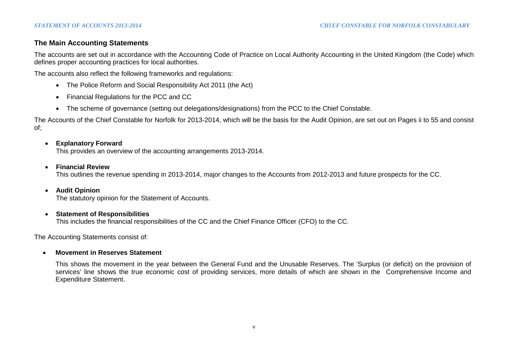# **The Main Accounting Statements**

The accounts are set out in accordance with the Accounting Code of Practice on Local Authority Accounting in the United Kingdom (the Code) which defines proper accounting practices for local authorities.

The accounts also reflect the following frameworks and regulations:

- The Police Reform and Social Responsibility Act 2011 (the Act)
- Financial Regulations for the PCC and CC
- The scheme of governance (setting out delegations/designations) from the PCC to the Chief Constable.

The Accounts of the Chief Constable for Norfolk for 2013-2014, which will be the basis for the Audit Opinion, are set out on Pages ii to 55 and consist of;

# **Explanatory Forward**

This provides an overview of the accounting arrangements 2013-2014.

**Financial Review**

This outlines the revenue spending in 2013-2014, major changes to the Accounts from 2012-2013 and future prospects for the CC.

# **Audit Opinion**

The statutory opinion for the Statement of Accounts.

# **Statement of Responsibilities**

This includes the financial responsibilities of the CC and the Chief Finance Officer (CFO) to the CC.

The Accounting Statements consist of:

# **Movement in Reserves Statement**

This shows the movement in the year between the General Fund and the Unusable Reserves. The 'Surplus (or deficit) on the provision of services' line shows the true economic cost of providing services, more details of which are shown in the Comprehensive Income and Expenditure Statement.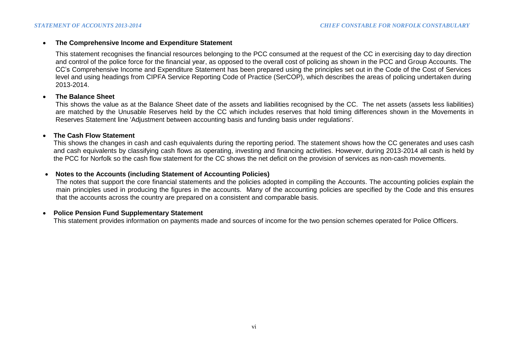#### **The Comprehensive Income and Expenditure Statement**

This statement recognises the financial resources belonging to the PCC consumed at the request of the CC in exercising day to day direction and control of the police force for the financial year, as opposed to the overall cost of policing as shown in the PCC and Group Accounts. The CC's Comprehensive Income and Expenditure Statement has been prepared using the principles set out in the Code of the Cost of Services level and using headings from CIPFA Service Reporting Code of Practice (SerCOP), which describes the areas of policing undertaken during 2013-2014.

#### **The Balance Sheet**

This shows the value as at the Balance Sheet date of the assets and liabilities recognised by the CC. The net assets (assets less liabilities) are matched by the Unusable Reserves held by the CC which includes reserves that hold timing differences shown in the Movements in Reserves Statement line 'Adjustment between accounting basis and funding basis under regulations'.

## **The Cash Flow Statement**

This shows the changes in cash and cash equivalents during the reporting period. The statement shows how the CC generates and uses cash and cash equivalents by classifying cash flows as operating, investing and financing activities. However, during 2013-2014 all cash is held by the PCC for Norfolk so the cash flow statement for the CC shows the net deficit on the provision of services as non-cash movements.

# **Notes to the Accounts (including Statement of Accounting Policies)**

The notes that support the core financial statements and the policies adopted in compiling the Accounts. The accounting policies explain the main principles used in producing the figures in the accounts. Many of the accounting policies are specified by the Code and this ensures that the accounts across the country are prepared on a consistent and comparable basis.

#### **Police Pension Fund Supplementary Statement**

This statement provides information on payments made and sources of income for the two pension schemes operated for Police Officers.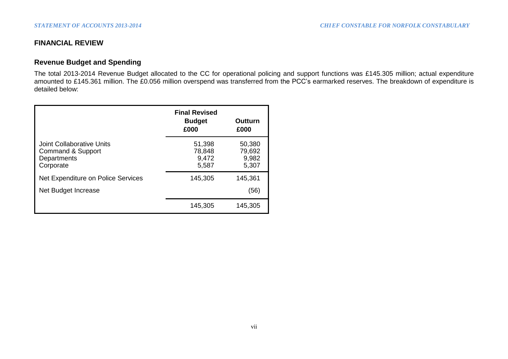# **FINANCIAL REVIEW**

# **Revenue Budget and Spending**

The total 2013-2014 Revenue Budget allocated to the CC for operational policing and support functions was £145.305 million; actual expenditure amounted to £145.361 million. The £0.056 million overspend was transferred from the PCC's earmarked reserves. The breakdown of expenditure is detailed below:

|                                                                            | <b>Final Revised</b><br><b>Budget</b><br>£000 | Outturn<br>£000                    |
|----------------------------------------------------------------------------|-----------------------------------------------|------------------------------------|
| Joint Collaborative Units<br>Command & Support<br>Departments<br>Corporate | 51,398<br>78,848<br>9,472<br>5,587            | 50,380<br>79,692<br>9,982<br>5,307 |
| Net Expenditure on Police Services                                         | 145,305                                       | 145,361                            |
| Net Budget Increase                                                        |                                               | (56)                               |
|                                                                            | 145,305                                       | 145,305                            |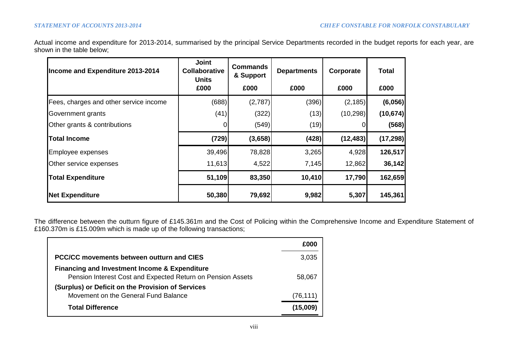Actual income and expenditure for 2013-2014, summarised by the principal Service Departments recorded in the budget reports for each year, are shown in the table below;

| Income and Expenditure 2013-2014       | <b>Joint</b><br><b>Collaborative</b><br><b>Units</b> | <b>Commands</b><br>& Support | <b>Departments</b> | Corporate | <b>Total</b> |
|----------------------------------------|------------------------------------------------------|------------------------------|--------------------|-----------|--------------|
|                                        | £000                                                 | £000                         | £000               | £000      | £000         |
| Fees, charges and other service income | (688)                                                | (2,787)                      | (396)              | (2, 185)  | (6,056)      |
| Government grants                      | (41)                                                 | (322)                        | (13)               | (10, 298) | (10, 674)    |
| Other grants & contributions           |                                                      | (549)                        | (19)               |           | (568)        |
| <b>Total Income</b>                    | (729)                                                | (3,658)                      | (428)              | (12, 483) | (17, 298)    |
| Employee expenses                      | 39,496                                               | 78,828                       | 3,265              | 4,928     | 126,517      |
| Other service expenses                 | 11,613                                               | 4,522                        | 7,145              | 12,862    | 36,142       |
| <b>Total Expenditure</b>               | 51,109                                               | 83,350                       | 10,410             | 17,790    | 162,659      |
| <b>Net Expenditure</b>                 | 50,380                                               | 79,692                       | 9,982              | 5,307     | 145,361      |

The difference between the outturn figure of £145.361m and the Cost of Policing within the Comprehensive Income and Expenditure Statement of £160.370m is £15.009m which is made up of the following transactions;

|                                                                                                                         | £000      |
|-------------------------------------------------------------------------------------------------------------------------|-----------|
| PCC/CC movements between outturn and CIES                                                                               | 3,035     |
| <b>Financing and Investment Income &amp; Expenditure</b><br>Pension Interest Cost and Expected Return on Pension Assets | 58,067    |
| (Surplus) or Deficit on the Provision of Services                                                                       |           |
| Movement on the General Fund Balance                                                                                    | (76, 111) |
| <b>Total Difference</b>                                                                                                 | (15,009)  |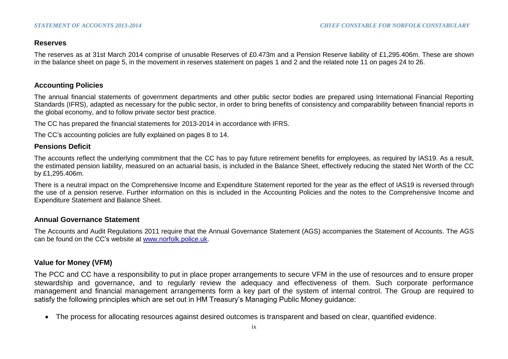# **Reserves**

The reserves as at 31st March 2014 comprise of unusable Reserves of £0.473m and a Pension Reserve liability of £1,295.406m. These are shown in the balance sheet on page 5, in the movement in reserves statement on pages 1 and 2 and the related note 11 on pages 24 to 26.

# **Accounting Policies**

The annual financial statements of government departments and other public sector bodies are prepared using International Financial Reporting Standards (IFRS), adapted as necessary for the public sector, in order to bring benefits of consistency and comparability between financial reports in the global economy, and to follow private sector best practice.

The CC has prepared the financial statements for 2013-2014 in accordance with IFRS.

The CC's accounting policies are fully explained on pages 8 to 14.

# **Pensions Deficit**

The accounts reflect the underlying commitment that the CC has to pay future retirement benefits for employees, as required by IAS19. As a result, the estimated pension liability, measured on an actuarial basis, is included in the Balance Sheet, effectively reducing the stated Net Worth of the CC by £1,295.406m.

There is a neutral impact on the Comprehensive Income and Expenditure Statement reported for the year as the effect of IAS19 is reversed through the use of a pension reserve. Further information on this is included in the Accounting Policies and the notes to the Comprehensive Income and Expenditure Statement and Balance Sheet.

# **Annual Governance Statement**

The Accounts and Audit Regulations 2011 require that the Annual Governance Statement (AGS) accompanies the Statement of Accounts. The AGS can be found on the CC's website at [www.norfolk.police.uk.](http://www.norfolk.police.uk/)

# **Value for Money (VFM)**

The PCC and CC have a responsibility to put in place proper arrangements to secure VFM in the use of resources and to ensure proper stewardship and governance, and to regularly review the adequacy and effectiveness of them. Such corporate performance management and financial management arrangements form a key part of the system of internal control. The Group are required to satisfy the following principles which are set out in HM Treasury's Managing Public Money guidance:

The process for allocating resources against desired outcomes is transparent and based on clear, quantified evidence.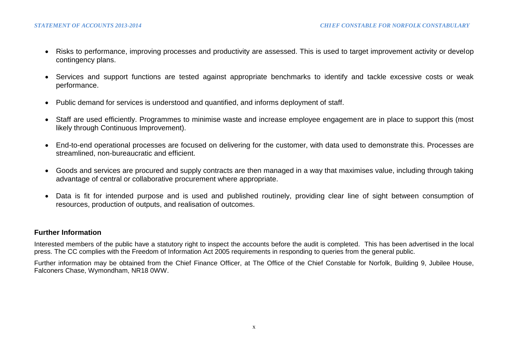- Risks to performance, improving processes and productivity are assessed. This is used to target improvement activity or develop contingency plans.
- Services and support functions are tested against appropriate benchmarks to identify and tackle excessive costs or weak performance.
- Public demand for services is understood and quantified, and informs deployment of staff.
- Staff are used efficiently. Programmes to minimise waste and increase employee engagement are in place to support this (most likely through Continuous Improvement).
- End-to-end operational processes are focused on delivering for the customer, with data used to demonstrate this. Processes are streamlined, non-bureaucratic and efficient.
- Goods and services are procured and supply contracts are then managed in a way that maximises value, including through taking advantage of central or collaborative procurement where appropriate.
- Data is fit for intended purpose and is used and published routinely, providing clear line of sight between consumption of resources, production of outputs, and realisation of outcomes.

# **Further Information**

Interested members of the public have a statutory right to inspect the accounts before the audit is completed. This has been advertised in the local press. The CC complies with the Freedom of Information Act 2005 requirements in responding to queries from the general public.

Further information may be obtained from the Chief Finance Officer, at The Office of the Chief Constable for Norfolk, Building 9, Jubilee House, Falconers Chase, Wymondham, NR18 0WW.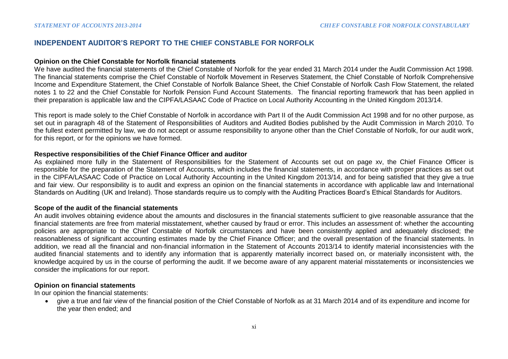## **INDEPENDENT AUDITOR'S REPORT TO THE CHIEF CONSTABLE FOR NORFOLK**

#### **Opinion on the Chief Constable for Norfolk financial statements**

We have audited the financial statements of the Chief Constable of Norfolk for the year ended 31 March 2014 under the Audit Commission Act 1998. The financial statements comprise the Chief Constable of Norfolk Movement in Reserves Statement, the Chief Constable of Norfolk Comprehensive Income and Expenditure Statement, the Chief Constable of Norfolk Balance Sheet, the Chief Constable of Norfolk Cash Flow Statement, the related notes 1 to 22 and the Chief Constable for Norfolk Pension Fund Account Statements. The financial reporting framework that has been applied in their preparation is applicable law and the CIPFA/LASAAC Code of Practice on Local Authority Accounting in the United Kingdom 2013/14.

This report is made solely to the Chief Constable of Norfolk in accordance with Part II of the Audit Commission Act 1998 and for no other purpose, as set out in paragraph 48 of the Statement of Responsibilities of Auditors and Audited Bodies published by the Audit Commission in March 2010. To the fullest extent permitted by law, we do not accept or assume responsibility to anyone other than the Chief Constable of Norfolk, for our audit work, for this report, or for the opinions we have formed.

#### **Respective responsibilities of the Chief Finance Officer and auditor**

As explained more fully in the Statement of Responsibilities for the Statement of Accounts set out on page xv, the Chief Finance Officer is responsible for the preparation of the Statement of Accounts, which includes the financial statements, in accordance with proper practices as set out in the CIPFA/LASAAC Code of Practice on Local Authority Accounting in the United Kingdom 2013/14, and for being satisfied that they give a true and fair view. Our responsibility is to audit and express an opinion on the financial statements in accordance with applicable law and International Standards on Auditing (UK and Ireland). Those standards require us to comply with the Auditing Practices Board's Ethical Standards for Auditors.

#### **Scope of the audit of the financial statements**

An audit involves obtaining evidence about the amounts and disclosures in the financial statements sufficient to give reasonable assurance that the financial statements are free from material misstatement, whether caused by fraud or error. This includes an assessment of: whether the accounting policies are appropriate to the Chief Constable of Norfolk circumstances and have been consistently applied and adequately disclosed; the reasonableness of significant accounting estimates made by the Chief Finance Officer; and the overall presentation of the financial statements. In addition, we read all the financial and non-financial information in the Statement of Accounts 2013/14 to identify material inconsistencies with the audited financial statements and to identify any information that is apparently materially incorrect based on, or materially inconsistent with, the knowledge acquired by us in the course of performing the audit. If we become aware of any apparent material misstatements or inconsistencies we consider the implications for our report.

## **Opinion on financial statements**

In our opinion the financial statements:

 give a true and fair view of the financial position of the Chief Constable of Norfolk as at 31 March 2014 and of its expenditure and income for the year then ended; and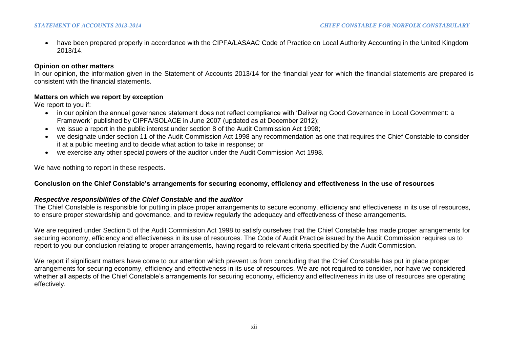have been prepared properly in accordance with the CIPFA/LASAAC Code of Practice on Local Authority Accounting in the United Kingdom 2013/14.

# **Opinion on other matters**

In our opinion, the information given in the Statement of Accounts 2013/14 for the financial year for which the financial statements are prepared is consistent with the financial statements.

#### **Matters on which we report by exception**

We report to you if:

- in our opinion the annual governance statement does not reflect compliance with 'Delivering Good Governance in Local Government: a Framework' published by CIPFA/SOLACE in June 2007 (updated as at December 2012);
- we issue a report in the public interest under section 8 of the Audit Commission Act 1998;
- we designate under section 11 of the Audit Commission Act 1998 any recommendation as one that requires the Chief Constable to consider it at a public meeting and to decide what action to take in response; or
- we exercise any other special powers of the auditor under the Audit Commission Act 1998.

We have nothing to report in these respects.

# **Conclusion on the Chief Constable's arrangements for securing economy, efficiency and effectiveness in the use of resources**

# *Respective responsibilities of the Chief Constable and the auditor*

The Chief Constable is responsible for putting in place proper arrangements to secure economy, efficiency and effectiveness in its use of resources, to ensure proper stewardship and governance, and to review regularly the adequacy and effectiveness of these arrangements.

We are required under Section 5 of the Audit Commission Act 1998 to satisfy ourselves that the Chief Constable has made proper arrangements for securing economy, efficiency and effectiveness in its use of resources. The Code of Audit Practice issued by the Audit Commission requires us to report to you our conclusion relating to proper arrangements, having regard to relevant criteria specified by the Audit Commission.

We report if significant matters have come to our attention which prevent us from concluding that the Chief Constable has put in place proper arrangements for securing economy, efficiency and effectiveness in its use of resources. We are not required to consider, nor have we considered, whether all aspects of the Chief Constable's arrangements for securing economy, efficiency and effectiveness in its use of resources are operating effectively.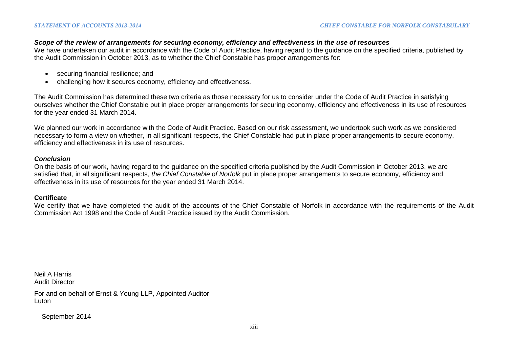## *Scope of the review of arrangements for securing economy, efficiency and effectiveness in the use of resources*

We have undertaken our audit in accordance with the Code of Audit Practice, having regard to the guidance on the specified criteria, published by the Audit Commission in October 2013, as to whether the Chief Constable has proper arrangements for:

- securing financial resilience; and
- challenging how it secures economy, efficiency and effectiveness.

The Audit Commission has determined these two criteria as those necessary for us to consider under the Code of Audit Practice in satisfying ourselves whether the Chief Constable put in place proper arrangements for securing economy, efficiency and effectiveness in its use of resources for the year ended 31 March 2014.

We planned our work in accordance with the Code of Audit Practice. Based on our risk assessment, we undertook such work as we considered necessary to form a view on whether, in all significant respects, the Chief Constable had put in place proper arrangements to secure economy, efficiency and effectiveness in its use of resources.

## *Conclusion*

On the basis of our work, having regard to the guidance on the specified criteria published by the Audit Commission in October 2013, we are satisfied that, in all significant respects, *the Chief Constable of Norfolk* put in place proper arrangements to secure economy, efficiency and effectiveness in its use of resources for the year ended 31 March 2014.

#### **Certificate**

We certify that we have completed the audit of the accounts of the Chief Constable of Norfolk in accordance with the requirements of the Audit Commission Act 1998 and the Code of Audit Practice issued by the Audit Commission.

Neil A Harris Audit Director

For and on behalf of Ernst & Young LLP, Appointed Auditor Luton

September 2014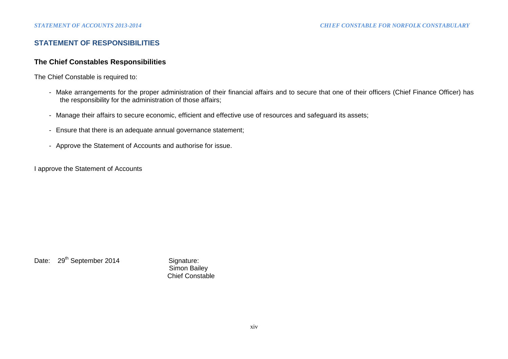# **STATEMENT OF RESPONSIBILITIES**

# **The Chief Constables Responsibilities**

The Chief Constable is required to:

- Make arrangements for the proper administration of their financial affairs and to secure that one of their officers (Chief Finance Officer) has the responsibility for the administration of those affairs;
- Manage their affairs to secure economic, efficient and effective use of resources and safeguard its assets;
- Ensure that there is an adequate annual governance statement;
- Approve the Statement of Accounts and authorise for issue.

I approve the Statement of Accounts

Date: 29<sup>th</sup> September 2014 Signature:

 Simon Bailey Chief Constable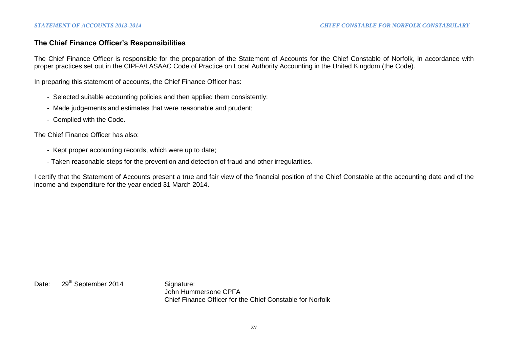# **The Chief Finance Officer's Responsibilities**

The Chief Finance Officer is responsible for the preparation of the Statement of Accounts for the Chief Constable of Norfolk, in accordance with proper practices set out in the CIPFA/LASAAC Code of Practice on Local Authority Accounting in the United Kingdom (the Code).

In preparing this statement of accounts, the Chief Finance Officer has:

- Selected suitable accounting policies and then applied them consistently;
- Made judgements and estimates that were reasonable and prudent;
- Complied with the Code.

The Chief Finance Officer has also:

- Kept proper accounting records, which were up to date;
- Taken reasonable steps for the prevention and detection of fraud and other irregularities.

I certify that the Statement of Accounts present a true and fair view of the financial position of the Chief Constable at the accounting date and of the income and expenditure for the year ended 31 March 2014.

Date: 29<sup>th</sup> September 2014 Signature:

John Hummersone CPFA Chief Finance Officer for the Chief Constable for Norfolk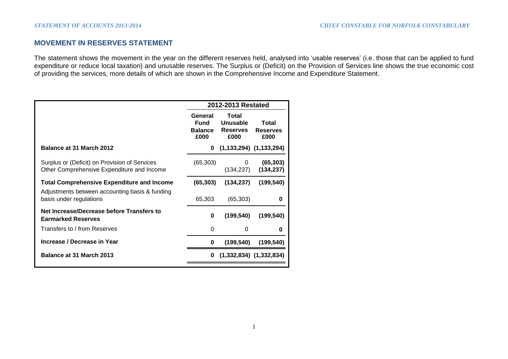# **MOVEMENT IN RESERVES STATEMENT**

The statement shows the movement in the year on the different reserves held, analysed into 'usable reserves' (i.e. those that can be applied to fund expenditure or reduce local taxation) and unusable reserves. The Surplus or (Deficit) on the Provision of Services line shows the true economic cost of providing the services, more details of which are shown in the Comprehensive Income and Expenditure Statement.

|                                                                                             | 2012-2013 Restated                               |                                              |                                  |  |
|---------------------------------------------------------------------------------------------|--------------------------------------------------|----------------------------------------------|----------------------------------|--|
|                                                                                             | General<br><b>Fund</b><br><b>Balance</b><br>£000 | Total<br>Unusable<br><b>Reserves</b><br>£000 | Total<br><b>Reserves</b><br>£000 |  |
| Balance at 31 March 2012                                                                    | 0                                                |                                              | $(1, 133, 294)$ $(1, 133, 294)$  |  |
| Surplus or (Deficit) on Provision of Services<br>Other Comprehensive Expenditure and Income | (65, 303)                                        | 0<br>(134, 237)                              | (65, 303)<br>(134, 237)          |  |
| <b>Total Comprehensive Expenditure and Income</b>                                           | (65, 303)                                        | (134, 237)                                   | (199, 540)                       |  |
| Adjustments between accounting basis & funding<br>basis under regulations                   | 65,303                                           | (65, 303)                                    | 0                                |  |
| Net Increase/Decrease before Transfers to<br><b>Earmarked Reserves</b>                      | 0                                                | (199, 540)                                   | (199, 540)                       |  |
| Transfers to / from Reserves                                                                | 0                                                | 0                                            | 0                                |  |
| Increase / Decrease in Year                                                                 | 0                                                | (199, 540)                                   | (199, 540)                       |  |
| Balance at 31 March 2013                                                                    | 0                                                |                                              | $(1,332,834)$ $(1,332,834)$      |  |
|                                                                                             |                                                  |                                              |                                  |  |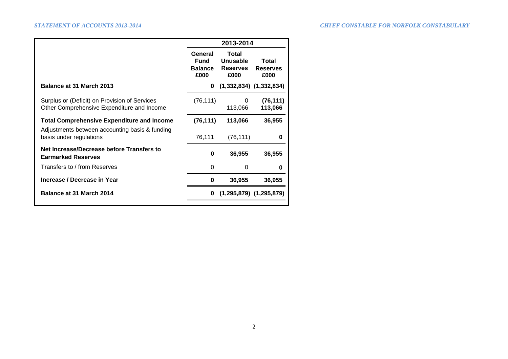|                                                                                             |                                           | 2013-2014                                    |                                  |
|---------------------------------------------------------------------------------------------|-------------------------------------------|----------------------------------------------|----------------------------------|
|                                                                                             | General<br>Fund<br><b>Balance</b><br>£000 | Total<br>Unusable<br><b>Reserves</b><br>£000 | Total<br><b>Reserves</b><br>£000 |
| Balance at 31 March 2013                                                                    | 0                                         |                                              | $(1,332,834)$ $(1,332,834)$      |
| Surplus or (Deficit) on Provision of Services<br>Other Comprehensive Expenditure and Income | (76, 111)                                 | 0<br>113,066                                 | (76, 111)<br>113,066             |
| <b>Total Comprehensive Expenditure and Income</b>                                           | (76, 111)                                 | 113,066                                      | 36,955                           |
| Adjustments between accounting basis & funding<br>basis under regulations                   | 76,111                                    | (76, 111)                                    | 0                                |
| Net Increase/Decrease before Transfers to<br><b>Earmarked Reserves</b>                      | 0                                         | 36,955                                       | 36,955                           |
| Transfers to / from Reserves                                                                | $\Omega$                                  | 0                                            | 0                                |
| Increase / Decrease in Year                                                                 | 0                                         | 36,955                                       | 36,955                           |
| <b>Balance at 31 March 2014</b>                                                             | 0                                         |                                              | $(1,295,879)$ $(1,295,879)$      |
|                                                                                             |                                           |                                              |                                  |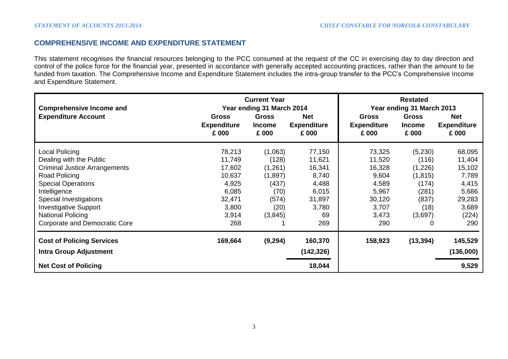# **COMPREHENSIVE INCOME AND EXPENDITURE STATEMENT**

This statement recognises the financial resources belonging to the PCC consumed at the request of the CC in exercising day to day direction and control of the police force for the financial year, presented in accordance with generally accepted accounting practices, rather than the amount to be funded from taxation. The Comprehensive Income and Expenditure Statement includes the intra-group transfer to the PCC's Comprehensive Income and Expenditure Statement.

| <b>Current Year</b><br>Year ending 31 March 2014<br><b>Comprehensive Income and</b> |                                             |                                        |                                           |                                      | <b>Restated</b><br>Year ending 31 March 2013 |                                           |
|-------------------------------------------------------------------------------------|---------------------------------------------|----------------------------------------|-------------------------------------------|--------------------------------------|----------------------------------------------|-------------------------------------------|
| <b>Expenditure Account</b>                                                          | <b>Gross</b><br><b>Expenditure</b><br>£ 000 | <b>Gross</b><br><b>Income</b><br>£ 000 | <b>Net</b><br><b>Expenditure</b><br>£ 000 | Gross<br><b>Expenditure</b><br>£ 000 | <b>Gross</b><br>Income<br>£ 000              | <b>Net</b><br><b>Expenditure</b><br>£ 000 |
| Local Policing                                                                      | 78,213                                      | (1,063)                                | 77,150                                    | 73,325                               | (5,230)                                      | 68,095                                    |
| Dealing with the Public                                                             | 11,749                                      | (128)                                  | 11,621                                    | 11,520                               | (116)                                        | 11,404                                    |
| Criminal Justice Arrangements                                                       | 17,602                                      | (1,261)                                | 16,341                                    | 16,328                               | (1,226)                                      | 15,102                                    |
| Road Policing                                                                       | 10,637                                      | (1,897)                                | 8,740                                     | 9,604                                | (1, 815)                                     | 7,789                                     |
| <b>Special Operations</b>                                                           | 4,925                                       | (437)                                  | 4,488                                     | 4,589                                | (174)                                        | 4,415                                     |
| Intelligence                                                                        | 6,085                                       | (70)                                   | 6,015                                     | 5,967                                | (281)                                        | 5,686                                     |
| Special Investigations                                                              | 32,471                                      | (574)                                  | 31,897                                    | 30,120                               | (837)                                        | 29,283                                    |
| <b>Investigative Support</b>                                                        | 3,800                                       | (20)                                   | 3,780                                     | 3,707                                | (18)                                         | 3,689                                     |
| National Policing                                                                   | 3,914                                       | (3,845)                                | 69                                        | 3,473                                | (3,697)                                      | (224)                                     |
| <b>Corporate and Democratic Core</b>                                                | 268                                         |                                        | 269                                       | 290                                  | 0                                            | 290                                       |
| <b>Cost of Policing Services</b><br><b>Intra Group Adjustment</b>                   | 169,664                                     | (9, 294)                               | 160,370<br>(142, 326)                     | 158,923                              | (13, 394)                                    | 145,529<br>(136,000)                      |
|                                                                                     |                                             |                                        |                                           |                                      |                                              |                                           |
| <b>Net Cost of Policing</b>                                                         |                                             |                                        | 18,044                                    |                                      |                                              | 9,529                                     |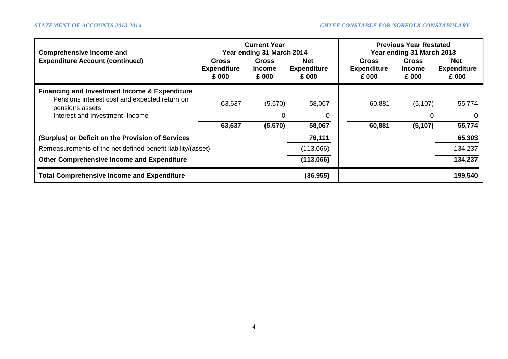| <b>Comprehensive Income and</b><br><b>Expenditure Account (continued)</b>                                                                                      | <b>Gross</b><br><b>Expenditure</b><br>£ 000 | <b>Current Year</b><br>Year ending 31 March 2014<br><b>Gross</b><br><b>Income</b><br>£ 000 | <b>Net</b><br><b>Expenditure</b><br>£ 000 | <b>Gross</b><br><b>Expenditure</b><br>£ 000 | <b>Previous Year Restated</b><br>Year ending 31 March 2013<br><b>Gross</b><br><b>Income</b><br>£ 000 | <b>Net</b><br><b>Expenditure</b><br>£ 000 |
|----------------------------------------------------------------------------------------------------------------------------------------------------------------|---------------------------------------------|--------------------------------------------------------------------------------------------|-------------------------------------------|---------------------------------------------|------------------------------------------------------------------------------------------------------|-------------------------------------------|
| <b>Financing and Investment Income &amp; Expenditure</b><br>Pensions interest cost and expected return on<br>pensions assets<br>Interest and Investment Income | 63,637<br>63,637                            | (5,570)<br>0<br>(5,570)                                                                    | 58,067<br>58,067                          | 60,881<br>60,881                            | (5, 107)<br>0<br>(5, 107)                                                                            | 55,774<br>0<br>55,774                     |
| (Surplus) or Deficit on the Provision of Services                                                                                                              |                                             |                                                                                            | 76,111                                    |                                             |                                                                                                      | 65,303                                    |
| Remeasurements of the net defined benefit liability/(asset)                                                                                                    |                                             |                                                                                            | (113,066)                                 |                                             |                                                                                                      | 134,237                                   |
| <b>Other Comprehensive Income and Expenditure</b>                                                                                                              |                                             |                                                                                            | (113,066)                                 |                                             |                                                                                                      | 134,237                                   |
| <b>Total Comprehensive Income and Expenditure</b>                                                                                                              |                                             |                                                                                            | (36, 955)                                 |                                             |                                                                                                      | 199,540                                   |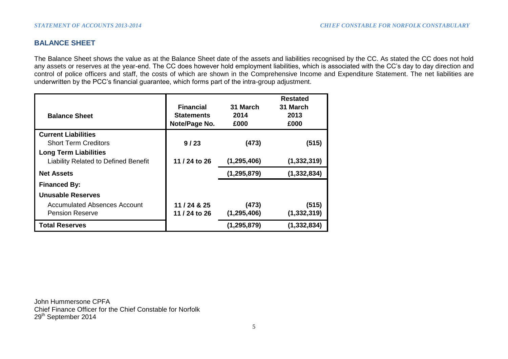# **BALANCE SHEET**

The Balance Sheet shows the value as at the Balance Sheet date of the assets and liabilities recognised by the CC. As stated the CC does not hold any assets or reserves at the year-end. The CC does however hold employment liabilities, which is associated with the CC's day to day direction and control of police officers and staff, the costs of which are shown in the Comprehensive Income and Expenditure Statement. The net liabilities are underwritten by the PCC's financial guarantee, which forms part of the intra-group adjustment.

| <b>Balance Sheet</b>                        | <b>Financial</b><br><b>Statements</b><br>Note/Page No. |               | <b>Restated</b><br>31 March<br>2013<br>£000 |
|---------------------------------------------|--------------------------------------------------------|---------------|---------------------------------------------|
| <b>Current Liabilities</b>                  |                                                        |               |                                             |
| <b>Short Term Creditors</b>                 | 9/23                                                   | (473)         | (515)                                       |
| <b>Long Term Liabilities</b>                |                                                        |               |                                             |
| <b>Liability Related to Defined Benefit</b> | 11 / 24 to 26                                          | (1, 295, 406) | (1, 332, 319)                               |
| <b>Net Assets</b>                           |                                                        | (1, 295, 879) | (1, 332, 834)                               |
| <b>Financed By:</b>                         |                                                        |               |                                             |
| Unusable Reserves                           |                                                        |               |                                             |
| <b>Accumulated Absences Account</b>         | 11 / 24 & 25                                           | (473)         | (515)                                       |
| <b>Pension Reserve</b>                      | 11 / 24 to 26                                          | (1, 295, 406) | (1, 332, 319)                               |
| <b>Total Reserves</b>                       |                                                        | (1, 295, 879) | (1, 332, 834)                               |

John Hummersone CPFA Chief Finance Officer for the Chief Constable for Norfolk 29<sup>th</sup> September 2014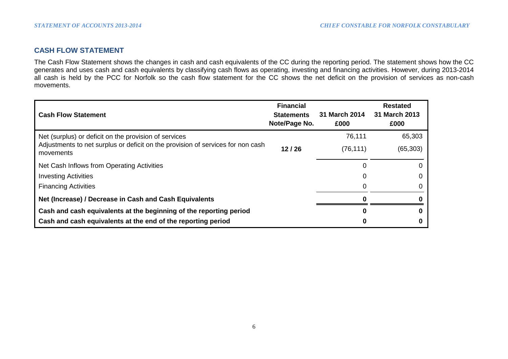# **CASH FLOW STATEMENT**

The Cash Flow Statement shows the changes in cash and cash equivalents of the CC during the reporting period. The statement shows how the CC generates and uses cash and cash equivalents by classifying cash flows as operating, investing and financing activities. However, during 2013-2014 all cash is held by the PCC for Norfolk so the cash flow statement for the CC shows the net deficit on the provision of services as non-cash movements.

| <b>Cash Flow Statement</b>                                                                   | <b>Financial</b><br><b>Statements</b><br>Note/Page No. | 31 March 2014<br>£000 | <b>Restated</b><br>31 March 2013<br>£000 |
|----------------------------------------------------------------------------------------------|--------------------------------------------------------|-----------------------|------------------------------------------|
| Net (surplus) or deficit on the provision of services                                        |                                                        | 76,111                | 65,303                                   |
| Adjustments to net surplus or deficit on the provision of services for non cash<br>movements | 12/26                                                  | (76, 111)             | (65, 303)                                |
| Net Cash Inflows from Operating Activities                                                   |                                                        | 0                     |                                          |
| <b>Investing Activities</b>                                                                  |                                                        | 0                     |                                          |
| <b>Financing Activities</b>                                                                  |                                                        | 0                     |                                          |
| Net (Increase) / Decrease in Cash and Cash Equivalents                                       |                                                        |                       |                                          |
| Cash and cash equivalents at the beginning of the reporting period                           |                                                        | 0                     |                                          |
| Cash and cash equivalents at the end of the reporting period                                 |                                                        |                       |                                          |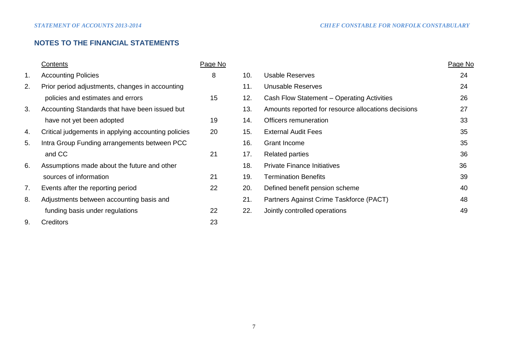# **NOTES TO THE FINANCIAL STATEMENTS**

|                | <b>Contents</b>                                     | Page No |     |                                                     | Page No |
|----------------|-----------------------------------------------------|---------|-----|-----------------------------------------------------|---------|
| $\mathbf{1}$ . | <b>Accounting Policies</b>                          | 8       | 10. | <b>Usable Reserves</b>                              | 24      |
| 2.             | Prior period adjustments, changes in accounting     |         | 11. | Unusable Reserves                                   | 24      |
|                | policies and estimates and errors                   | 15      | 12. | Cash Flow Statement - Operating Activities          | 26      |
| 3.             | Accounting Standards that have been issued but      |         | 13. | Amounts reported for resource allocations decisions | 27      |
|                | have not yet been adopted                           | 19      | 14. | Officers remuneration                               | 33      |
| 4.             | Critical judgements in applying accounting policies | 20      | 15. | <b>External Audit Fees</b>                          | 35      |
| 5.             | Intra Group Funding arrangements between PCC        |         | 16. | <b>Grant Income</b>                                 | 35      |
|                | and CC                                              | 21      | 17. | <b>Related parties</b>                              | 36      |
| 6.             | Assumptions made about the future and other         |         | 18. | <b>Private Finance Initiatives</b>                  | 36      |
|                | sources of information                              | 21      | 19. | <b>Termination Benefits</b>                         | 39      |
| 7.             | Events after the reporting period                   | 22      | 20. | Defined benefit pension scheme                      | 40      |
| 8.             | Adjustments between accounting basis and            |         | 21. | Partners Against Crime Taskforce (PACT)             | 48      |
|                | funding basis under regulations                     | 22      | 22. | Jointly controlled operations                       | 49      |
| 9.             | <b>Creditors</b>                                    | 23      |     |                                                     |         |
|                |                                                     |         |     |                                                     |         |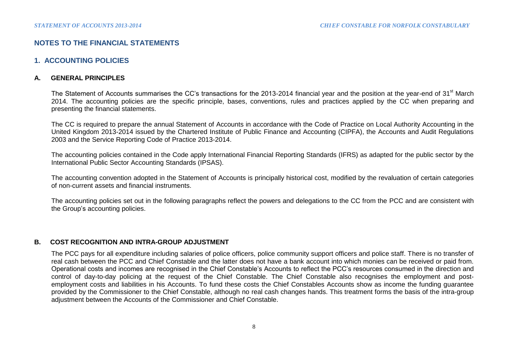# **NOTES TO THE FINANCIAL STATEMENTS**

# **1. ACCOUNTING POLICIES**

# **A. GENERAL PRINCIPLES**

The Statement of Accounts summarises the CC's transactions for the 2013-2014 financial year and the position at the year-end of 31<sup>st</sup> March 2014. The accounting policies are the specific principle, bases, conventions, rules and practices applied by the CC when preparing and presenting the financial statements.

The CC is required to prepare the annual Statement of Accounts in accordance with the Code of Practice on Local Authority Accounting in the United Kingdom 2013-2014 issued by the Chartered Institute of Public Finance and Accounting (CIPFA), the Accounts and Audit Regulations 2003 and the Service Reporting Code of Practice 2013-2014.

The accounting policies contained in the Code apply International Financial Reporting Standards (IFRS) as adapted for the public sector by the International Public Sector Accounting Standards (IPSAS).

The accounting convention adopted in the Statement of Accounts is principally historical cost, modified by the revaluation of certain categories of non-current assets and financial instruments.

The accounting policies set out in the following paragraphs reflect the powers and delegations to the CC from the PCC and are consistent with the Group's accounting policies.

# **B. COST RECOGNITION AND INTRA-GROUP ADJUSTMENT**

The PCC pays for all expenditure including salaries of police officers, police community support officers and police staff. There is no transfer of real cash between the PCC and Chief Constable and the latter does not have a bank account into which monies can be received or paid from. Operational costs and incomes are recognised in the Chief Constable's Accounts to reflect the PCC's resources consumed in the direction and control of day-to-day policing at the request of the Chief Constable. The Chief Constable also recognises the employment and postemployment costs and liabilities in his Accounts. To fund these costs the Chief Constables Accounts show as income the funding guarantee provided by the Commissioner to the Chief Constable, although no real cash changes hands. This treatment forms the basis of the intra-group adjustment between the Accounts of the Commissioner and Chief Constable.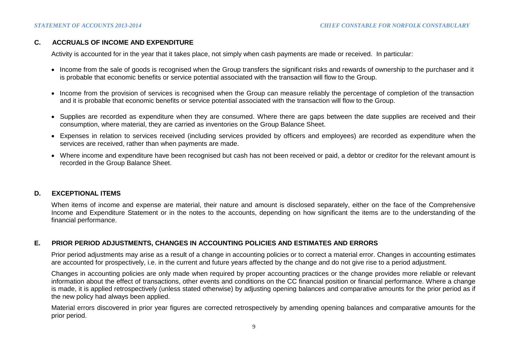# **C. ACCRUALS OF INCOME AND EXPENDITURE**

Activity is accounted for in the year that it takes place, not simply when cash payments are made or received. In particular:

- Income from the sale of goods is recognised when the Group transfers the significant risks and rewards of ownership to the purchaser and it is probable that economic benefits or service potential associated with the transaction will flow to the Group.
- Income from the provision of services is recognised when the Group can measure reliably the percentage of completion of the transaction and it is probable that economic benefits or service potential associated with the transaction will flow to the Group.
- Supplies are recorded as expenditure when they are consumed. Where there are gaps between the date supplies are received and their consumption, where material, they are carried as inventories on the Group Balance Sheet.
- Expenses in relation to services received (including services provided by officers and employees) are recorded as expenditure when the services are received, rather than when payments are made.
- Where income and expenditure have been recognised but cash has not been received or paid, a debtor or creditor for the relevant amount is recorded in the Group Balance Sheet.

# **D. EXCEPTIONAL ITEMS**

When items of income and expense are material, their nature and amount is disclosed separately, either on the face of the Comprehensive Income and Expenditure Statement or in the notes to the accounts, depending on how significant the items are to the understanding of the financial performance.

# **E. PRIOR PERIOD ADJUSTMENTS, CHANGES IN ACCOUNTING POLICIES AND ESTIMATES AND ERRORS**

Prior period adjustments may arise as a result of a change in accounting policies or to correct a material error. Changes in accounting estimates are accounted for prospectively, i.e. in the current and future years affected by the change and do not give rise to a period adjustment.

Changes in accounting policies are only made when required by proper accounting practices or the change provides more reliable or relevant information about the effect of transactions, other events and conditions on the CC financial position or financial performance. Where a change is made, it is applied retrospectively (unless stated otherwise) by adjusting opening balances and comparative amounts for the prior period as if the new policy had always been applied.

Material errors discovered in prior year figures are corrected retrospectively by amending opening balances and comparative amounts for the prior period.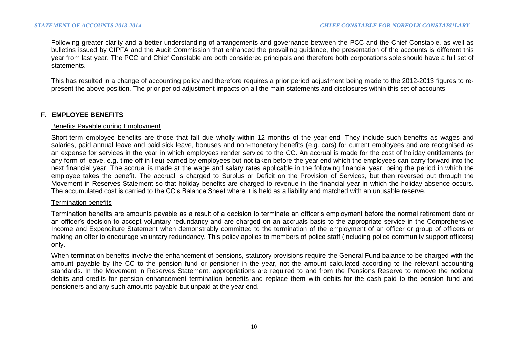Following greater clarity and a better understanding of arrangements and governance between the PCC and the Chief Constable, as well as bulletins issued by CIPFA and the Audit Commission that enhanced the prevailing guidance, the presentation of the accounts is different this year from last year. The PCC and Chief Constable are both considered principals and therefore both corporations sole should have a full set of statements.

This has resulted in a change of accounting policy and therefore requires a prior period adjustment being made to the 2012-2013 figures to represent the above position. The prior period adjustment impacts on all the main statements and disclosures within this set of accounts.

# **F. EMPLOYEE BENEFITS**

#### Benefits Payable during Employment

Short-term employee benefits are those that fall due wholly within 12 months of the year-end. They include such benefits as wages and salaries, paid annual leave and paid sick leave, bonuses and non-monetary benefits (e.g. cars) for current employees and are recognised as an expense for services in the year in which employees render service to the CC. An accrual is made for the cost of holiday entitlements (or any form of leave, e.g. time off in lieu) earned by employees but not taken before the year end which the employees can carry forward into the next financial year. The accrual is made at the wage and salary rates applicable in the following financial year, being the period in which the employee takes the benefit. The accrual is charged to Surplus or Deficit on the Provision of Services, but then reversed out through the Movement in Reserves Statement so that holiday benefits are charged to revenue in the financial year in which the holiday absence occurs. The accumulated cost is carried to the CC's Balance Sheet where it is held as a liability and matched with an unusable reserve.

#### Termination benefits

Termination benefits are amounts payable as a result of a decision to terminate an officer's employment before the normal retirement date or an officer's decision to accept voluntary redundancy and are charged on an accruals basis to the appropriate service in the Comprehensive Income and Expenditure Statement when demonstrably committed to the termination of the employment of an officer or group of officers or making an offer to encourage voluntary redundancy. This policy applies to members of police staff (including police community support officers) only.

When termination benefits involve the enhancement of pensions, statutory provisions require the General Fund balance to be charged with the amount payable by the CC to the pension fund or pensioner in the year, not the amount calculated according to the relevant accounting standards. In the Movement in Reserves Statement, appropriations are required to and from the Pensions Reserve to remove the notional debits and credits for pension enhancement termination benefits and replace them with debits for the cash paid to the pension fund and pensioners and any such amounts payable but unpaid at the year end.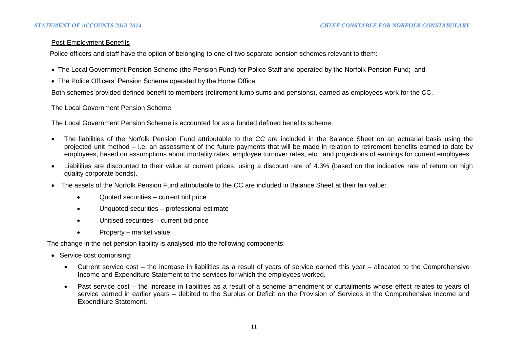## Post-Employment Benefits

Police officers and staff have the option of belonging to one of two separate pension schemes relevant to them:

- The Local Government Pension Scheme (the Pension Fund) for Police Staff and operated by the Norfolk Pension Fund; and
- The Police Officers' Pension Scheme operated by the Home Office.

Both schemes provided defined benefit to members (retirement lump sums and pensions), earned as employees work for the CC.

## The Local Government Pension Scheme

The Local Government Pension Scheme is accounted for as a funded defined benefits scheme:

- The liabilities of the Norfolk Pension Fund attributable to the CC are included in the Balance Sheet on an actuarial basis using the projected unit method – i.e. an assessment of the future payments that will be made in relation to retirement benefits earned to date by employees, based on assumptions about mortality rates, employee turnover rates, etc., and projections of earnings for current employees.
- Liabilities are discounted to their value at current prices, using a discount rate of 4.3% (based on the indicative rate of return on high quality corporate bonds).
- The assets of the Norfolk Pension Fund attributable to the CC are included in Balance Sheet at their fair value:
	- Quoted securities current bid price
	- Unquoted securities professional estimate
	- Unitised securities current bid price
	- Property market value.

The change in the net pension liability is analysed into the following components:

- Service cost comprising:
	- Current service cost the increase in liabilities as a result of years of service earned this year allocated to the Comprehensive Income and Expenditure Statement to the services for which the employees worked.
	- Past service cost the increase in liabilities as a result of a scheme amendment or curtailments whose effect relates to years of service earned in earlier years – debited to the Surplus or Deficit on the Provision of Services in the Comprehensive Income and Expenditure Statement.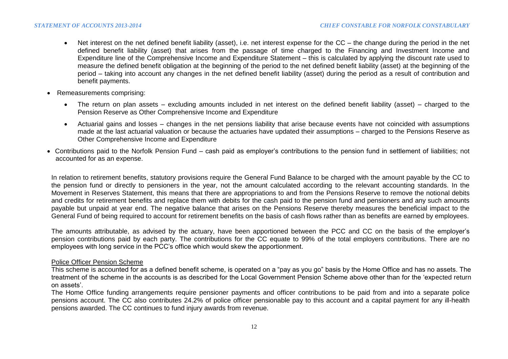- Net interest on the net defined benefit liability (asset), i.e. net interest expense for the CC the change during the period in the net defined benefit liability (asset) that arises from the passage of time charged to the Financing and Investment Income and Expenditure line of the Comprehensive Income and Expenditure Statement – this is calculated by applying the discount rate used to measure the defined benefit obligation at the beginning of the period to the net defined benefit liability (asset) at the beginning of the period – taking into account any changes in the net defined benefit liability (asset) during the period as a result of contribution and benefit payments.
- Remeasurements comprising:
	- The return on plan assets excluding amounts included in net interest on the defined benefit liability (asset) charged to the Pension Reserve as Other Comprehensive Income and Expenditure
	- Actuarial gains and losses changes in the net pensions liability that arise because events have not coincided with assumptions made at the last actuarial valuation or because the actuaries have updated their assumptions – charged to the Pensions Reserve as Other Comprehensive Income and Expenditure
- Contributions paid to the Norfolk Pension Fund cash paid as employer's contributions to the pension fund in settlement of liabilities; not accounted for as an expense.

In relation to retirement benefits, statutory provisions require the General Fund Balance to be charged with the amount payable by the CC to the pension fund or directly to pensioners in the year, not the amount calculated according to the relevant accounting standards. In the Movement in Reserves Statement, this means that there are appropriations to and from the Pensions Reserve to remove the notional debits and credits for retirement benefits and replace them with debits for the cash paid to the pension fund and pensioners and any such amounts payable but unpaid at year end. The negative balance that arises on the Pensions Reserve thereby measures the beneficial impact to the General Fund of being required to account for retirement benefits on the basis of cash flows rather than as benefits are earned by employees.

The amounts attributable, as advised by the actuary, have been apportioned between the PCC and CC on the basis of the employer's pension contributions paid by each party. The contributions for the CC equate to 99% of the total employers contributions. There are no employees with long service in the PCC's office which would skew the apportionment.

# Police Officer Pension Scheme

This scheme is accounted for as a defined benefit scheme, is operated on a "pay as you go" basis by the Home Office and has no assets. The treatment of the scheme in the accounts is as described for the Local Government Pension Scheme above other than for the 'expected return on assets'.

The Home Office funding arrangements require pensioner payments and officer contributions to be paid from and into a separate police pensions account. The CC also contributes 24.2% of police officer pensionable pay to this account and a capital payment for any ill-health pensions awarded. The CC continues to fund injury awards from revenue.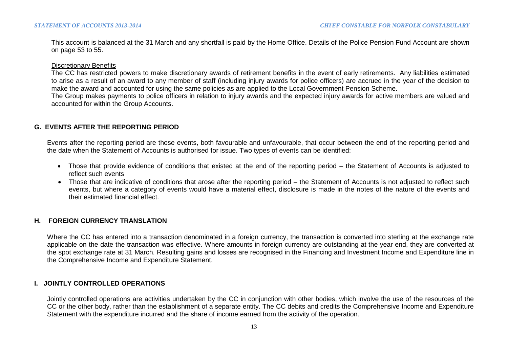This account is balanced at the 31 March and any shortfall is paid by the Home Office. Details of the Police Pension Fund Account are shown on page 53 to 55.

Discretionary Benefits

The CC has restricted powers to make discretionary awards of retirement benefits in the event of early retirements. Any liabilities estimated to arise as a result of an award to any member of staff (including injury awards for police officers) are accrued in the year of the decision to make the award and accounted for using the same policies as are applied to the Local Government Pension Scheme.

The Group makes payments to police officers in relation to injury awards and the expected injury awards for active members are valued and accounted for within the Group Accounts.

# **G. EVENTS AFTER THE REPORTING PERIOD**

Events after the reporting period are those events, both favourable and unfavourable, that occur between the end of the reporting period and the date when the Statement of Accounts is authorised for issue. Two types of events can be identified:

- Those that provide evidence of conditions that existed at the end of the reporting period the Statement of Accounts is adjusted to reflect such events
- Those that are indicative of conditions that arose after the reporting period the Statement of Accounts is not adjusted to reflect such events, but where a category of events would have a material effect, disclosure is made in the notes of the nature of the events and their estimated financial effect.

# **H. FOREIGN CURRENCY TRANSLATION**

Where the CC has entered into a transaction denominated in a foreign currency, the transaction is converted into sterling at the exchange rate applicable on the date the transaction was effective. Where amounts in foreign currency are outstanding at the year end, they are converted at the spot exchange rate at 31 March. Resulting gains and losses are recognised in the Financing and Investment Income and Expenditure line in the Comprehensive Income and Expenditure Statement.

# **I. JOINTLY CONTROLLED OPERATIONS**

Jointly controlled operations are activities undertaken by the CC in conjunction with other bodies, which involve the use of the resources of the CC or the other body, rather than the establishment of a separate entity. The CC debits and credits the Comprehensive Income and Expenditure Statement with the expenditure incurred and the share of income earned from the activity of the operation.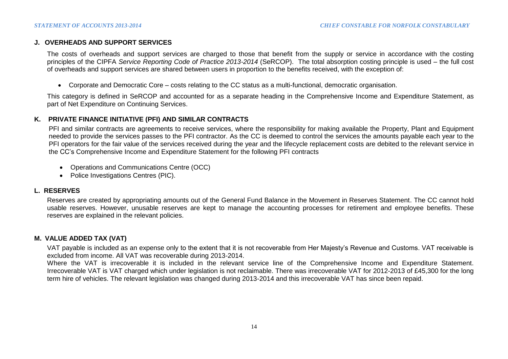## **J. OVERHEADS AND SUPPORT SERVICES**

The costs of overheads and support services are charged to those that benefit from the supply or service in accordance with the costing principles of the CIPFA *Service Reporting Code of Practice 2013-2014* (SeRCOP). The total absorption costing principle is used – the full cost of overheads and support services are shared between users in proportion to the benefits received, with the exception of:

Corporate and Democratic Core – costs relating to the CC status as a multi-functional, democratic organisation.

This category is defined in SeRCOP and accounted for as a separate heading in the Comprehensive Income and Expenditure Statement, as part of Net Expenditure on Continuing Services.

## **K. PRIVATE FINANCE INITIATIVE (PFI) AND SIMILAR CONTRACTS**

PFI and similar contracts are agreements to receive services, where the responsibility for making available the Property, Plant and Equipment needed to provide the services passes to the PFI contractor. As the CC is deemed to control the services the amounts payable each year to the PFI operators for the fair value of the services received during the year and the lifecycle replacement costs are debited to the relevant service in the CC's Comprehensive Income and Expenditure Statement for the following PFI contracts

- Operations and Communications Centre (OCC)
- Police Investigations Centres (PIC).

#### **L. RESERVES**

Reserves are created by appropriating amounts out of the General Fund Balance in the Movement in Reserves Statement. The CC cannot hold usable reserves. However, unusable reserves are kept to manage the accounting processes for retirement and employee benefits. These reserves are explained in the relevant policies.

#### **M. VALUE ADDED TAX (VAT)**

VAT payable is included as an expense only to the extent that it is not recoverable from Her Majesty's Revenue and Customs. VAT receivable is excluded from income. All VAT was recoverable during 2013-2014.

Where the VAT is irrecoverable it is included in the relevant service line of the Comprehensive Income and Expenditure Statement. Irrecoverable VAT is VAT charged which under legislation is not reclaimable. There was irrecoverable VAT for 2012-2013 of £45,300 for the long term hire of vehicles. The relevant legislation was changed during 2013-2014 and this irrecoverable VAT has since been repaid.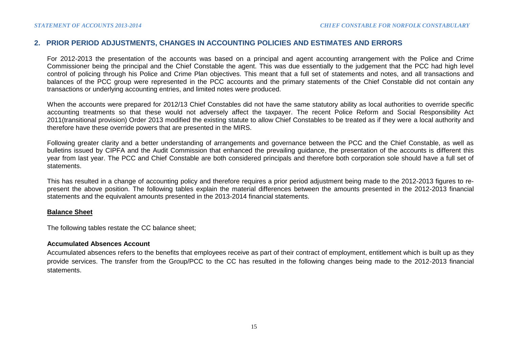# **2. PRIOR PERIOD ADJUSTMENTS, CHANGES IN ACCOUNTING POLICIES AND ESTIMATES AND ERRORS**

For 2012-2013 the presentation of the accounts was based on a principal and agent accounting arrangement with the Police and Crime Commissioner being the principal and the Chief Constable the agent. This was due essentially to the judgement that the PCC had high level control of policing through his Police and Crime Plan objectives. This meant that a full set of statements and notes, and all transactions and balances of the PCC group were represented in the PCC accounts and the primary statements of the Chief Constable did not contain any transactions or underlying accounting entries, and limited notes were produced.

When the accounts were prepared for 2012/13 Chief Constables did not have the same statutory ability as local authorities to override specific accounting treatments so that these would not adversely affect the taxpayer. The recent Police Reform and Social Responsibility Act 2011(transitional provision) Order 2013 modified the existing statute to allow Chief Constables to be treated as if they were a local authority and therefore have these override powers that are presented in the MIRS.

Following greater clarity and a better understanding of arrangements and governance between the PCC and the Chief Constable, as well as bulletins issued by CIPFA and the Audit Commission that enhanced the prevailing guidance, the presentation of the accounts is different this year from last year. The PCC and Chief Constable are both considered principals and therefore both corporation sole should have a full set of statements.

This has resulted in a change of accounting policy and therefore requires a prior period adjustment being made to the 2012-2013 figures to represent the above position. The following tables explain the material differences between the amounts presented in the 2012-2013 financial statements and the equivalent amounts presented in the 2013-2014 financial statements.

#### **Balance Sheet**

The following tables restate the CC balance sheet;

#### **Accumulated Absences Account**

Accumulated absences refers to the benefits that employees receive as part of their contract of employment, entitlement which is built up as they provide services. The transfer from the Group/PCC to the CC has resulted in the following changes being made to the 2012-2013 financial statements.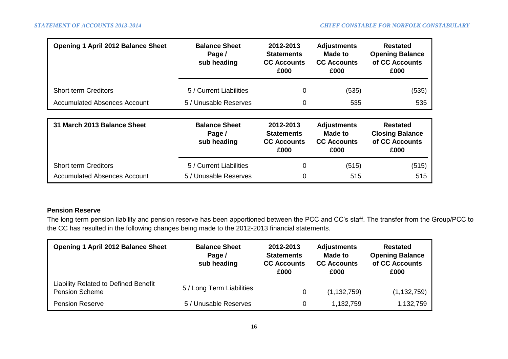| <b>Opening 1 April 2012 Balance Sheet</b> | <b>Balance Sheet</b><br>Page /<br>sub heading | 2012-2013<br><b>Statements</b><br><b>CC Accounts</b><br>£000 | <b>Adjustments</b><br>Made to<br><b>CC Accounts</b><br>£000 | <b>Restated</b><br><b>Opening Balance</b><br>of CC Accounts<br>£000 |
|-------------------------------------------|-----------------------------------------------|--------------------------------------------------------------|-------------------------------------------------------------|---------------------------------------------------------------------|
| <b>Short term Creditors</b>               | 5 / Current Liabilities                       | 0                                                            | (535)                                                       | (535)                                                               |
| Accumulated Absences Account              | 5 / Unusable Reserves                         | 0                                                            | 535                                                         | 535                                                                 |
|                                           |                                               |                                                              |                                                             |                                                                     |
| 31 March 2013 Balance Sheet               | <b>Balance Sheet</b><br>Page /<br>sub heading | 2012-2013<br><b>Statements</b><br><b>CC Accounts</b><br>£000 | <b>Adjustments</b><br>Made to<br><b>CC Accounts</b><br>£000 | <b>Restated</b><br><b>Closing Balance</b><br>of CC Accounts<br>£000 |
| <b>Short term Creditors</b>               | 5 / Current Liabilities                       | 0                                                            | (515)                                                       | (515)                                                               |
| <b>Accumulated Absences Account</b>       | 5 / Unusable Reserves                         | 0                                                            | 515                                                         | 515                                                                 |

## **Pension Reserve**

The long term pension liability and pension reserve has been apportioned between the PCC and CC's staff. The transfer from the Group/PCC to the CC has resulted in the following changes being made to the 2012-2013 financial statements.

| <b>Opening 1 April 2012 Balance Sheet</b>                            | <b>Balance Sheet</b><br>Page /<br>sub heading | 2012-2013<br><b>Statements</b><br><b>CC Accounts</b><br>£000 | <b>Adjustments</b><br><b>Made to</b><br><b>CC Accounts</b><br>£000 | <b>Restated</b><br><b>Opening Balance</b><br>of CC Accounts<br>£000 |  |  |
|----------------------------------------------------------------------|-----------------------------------------------|--------------------------------------------------------------|--------------------------------------------------------------------|---------------------------------------------------------------------|--|--|
| <b>Liability Related to Defined Benefit</b><br><b>Pension Scheme</b> | 5 / Long Term Liabilities                     | 0                                                            | (1, 132, 759)                                                      | (1, 132, 759)                                                       |  |  |
| <b>Pension Reserve</b>                                               | 5 / Unusable Reserves                         | 0                                                            | 1,132,759                                                          | 1,132,759                                                           |  |  |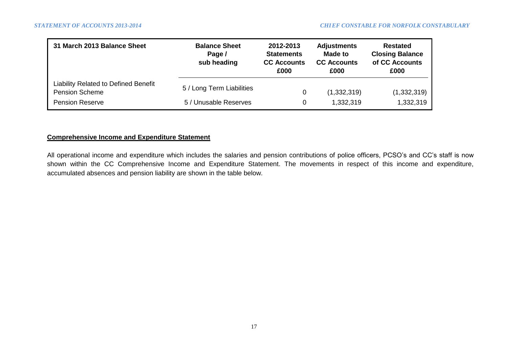| 31 March 2013 Balance Sheet                                          | <b>Balance Sheet</b><br>Page /<br>sub heading | 2012-2013<br><b>Statements</b><br><b>CC Accounts</b><br>£000 | <b>Adjustments</b><br><b>Made to</b><br><b>CC Accounts</b><br>£000 | <b>Restated</b><br><b>Closing Balance</b><br>of CC Accounts<br>£000 |  |
|----------------------------------------------------------------------|-----------------------------------------------|--------------------------------------------------------------|--------------------------------------------------------------------|---------------------------------------------------------------------|--|
| <b>Liability Related to Defined Benefit</b><br><b>Pension Scheme</b> | 5 / Long Term Liabilities                     | 0                                                            | (1,332,319)                                                        | (1,332,319)                                                         |  |
| <b>Pension Reserve</b>                                               | 5 / Unusable Reserves                         | 0                                                            | 1,332,319                                                          | 1,332,319                                                           |  |

# **Comprehensive Income and Expenditure Statement**

All operational income and expenditure which includes the salaries and pension contributions of police officers, PCSO's and CC's staff is now shown within the CC Comprehensive Income and Expenditure Statement. The movements in respect of this income and expenditure, accumulated absences and pension liability are shown in the table below.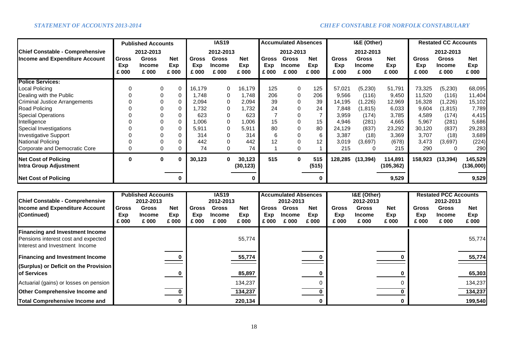|                                                       | <b>Published Accounts</b><br>2012-2013 |                                        |                            | <b>IAS19</b><br>2012-2013    |                                        |                            | <b>Accumulated Absences</b><br>2012-2013 |                                        |                            |                              | I&E (Other)                            |                            | <b>Restated CC Accounts</b><br>2012-2013 |                                        |                            |
|-------------------------------------------------------|----------------------------------------|----------------------------------------|----------------------------|------------------------------|----------------------------------------|----------------------------|------------------------------------------|----------------------------------------|----------------------------|------------------------------|----------------------------------------|----------------------------|------------------------------------------|----------------------------------------|----------------------------|
| <b>Chief Constable - Comprehensive</b>                |                                        |                                        |                            |                              |                                        |                            |                                          |                                        |                            |                              | 2012-2013                              |                            |                                          |                                        |                            |
| <b>Income and Expenditure Account</b>                 | <b>Gross</b><br>Exp<br>£ 000           | <b>Gross</b><br><b>Income</b><br>£ 000 | <b>Net</b><br>Exp<br>£ 000 | <b>Gross</b><br>Exp<br>£ 000 | <b>Gross</b><br><b>Income</b><br>£ 000 | <b>Net</b><br>Exp<br>£ 000 | <b>Gross</b><br>Exp<br>£ 000             | <b>Gross</b><br><b>Income</b><br>£ 000 | <b>Net</b><br>Exp<br>£ 000 | <b>Gross</b><br>Exp<br>£ 000 | <b>Gross</b><br><b>Income</b><br>£ 000 | <b>Net</b><br>Exp<br>£ 000 | <b>Gross</b><br>Exp<br>£ 000             | <b>Gross</b><br><b>Income</b><br>£ 000 | <b>Net</b><br>Exp<br>£ 000 |
| <b>Police Services:</b>                               |                                        |                                        |                            |                              |                                        |                            |                                          |                                        |                            |                              |                                        |                            |                                          |                                        |                            |
| <b>Local Policing</b>                                 |                                        |                                        | 0                          | 16,179                       | 0                                      | 16,179                     | 125                                      | $\Omega$                               | 125                        | 57,021                       | (5,230)                                | 51,791                     | 73,325                                   | (5,230)                                | 68,095                     |
| Dealing with the Public                               |                                        |                                        | 0                          | 1,748                        | $\Omega$                               | 1,748                      | 206                                      | 0                                      | 206                        | 9,566                        | (116)                                  | 9,450                      | 11,520                                   | (116)                                  | 11,404                     |
| <b>Criminal Justice Arrangements</b>                  |                                        |                                        | 0                          | 2,094                        | 0                                      | 2,094                      | 39                                       | 0                                      | 39                         | 14,195                       | (1,226)                                | 12,969                     | 16,328                                   | (1,226)                                | 15,102                     |
| Road Policing                                         |                                        |                                        | 0                          | 1,732                        | 0                                      | 1,732                      | 24                                       | 0                                      | 24                         | 7,848                        | (1, 815)                               | 6,033                      | 9,604                                    | (1,815)                                | 7,789                      |
| <b>Special Operations</b>                             |                                        |                                        | 0                          | 623                          |                                        | 623                        |                                          |                                        |                            | 3,959                        | (174)                                  | 3,785                      | 4,589                                    | (174)                                  | 4,415                      |
| Intelligence                                          |                                        |                                        | 0                          | 000.                         | 0                                      | 1,006                      | 15                                       | 0                                      | 15                         | 4,946                        | (281)                                  | 4,665                      | 5,967                                    | (281)                                  | 5,686                      |
| Special Investigations                                |                                        |                                        | 0                          | 5,911                        | 0                                      | 5,911                      | 80                                       | 0                                      | 80                         | 24,129                       | (837)                                  | 23,292                     | 30,120                                   | (837)                                  | 29,283                     |
| <b>Investigative Support</b>                          |                                        |                                        | 0                          | 314                          |                                        | 314                        | 6                                        | 0                                      | 6                          | 3,387                        | (18)                                   | 3,369                      | 3,707                                    | (18)                                   | 3,689                      |
| <b>National Policing</b>                              |                                        |                                        | 0                          | 442                          |                                        | 442                        | 12                                       |                                        | 12                         | 3,019                        | (3,697)                                | (678)                      | 3,473                                    | (3,697)                                | (224)                      |
| Corporate and Democratic Core                         |                                        |                                        | 0                          | 74                           | 0                                      | 74                         |                                          | 0                                      |                            | 215                          |                                        | 215                        | 290                                      | 0                                      | 290                        |
| <b>Net Cost of Policing</b><br>Intra Group Adjustment | 0                                      | 0                                      | 0                          | 30,123                       | $\bf{0}$                               | 30,123<br>(30, 123)        | 515                                      | 0                                      | 515<br>(515)               | 128,285                      | (13, 394)                              | 114,891<br>(105, 362)      | 158,923                                  | (13, 394)                              | 145,529<br>(136,000)       |
| <b>Net Cost of Policing</b>                           |                                        |                                        |                            |                              |                                        |                            |                                          |                                        | 0                          |                              |                                        | 9,529                      |                                          |                                        | 9,529                      |

|                                        |              | <b>Published Accounts</b> |              | <b>IAS19</b> |                        |              |              | <b>Accumulated Absences</b> |              |              | I&E (Other)            |              | <b>Restated PCC Accounts</b> |                        |              |
|----------------------------------------|--------------|---------------------------|--------------|--------------|------------------------|--------------|--------------|-----------------------------|--------------|--------------|------------------------|--------------|------------------------------|------------------------|--------------|
| <b>Chief Constable - Comprehensive</b> | 2012-2013    |                           |              | 2012-2013    |                        |              | 2012-2013    |                             |              |              | 2012-2013              |              | 2012-2013                    |                        |              |
| <b>Income and Expenditure Account</b>  | <b>Gross</b> | <b>Gross</b>              | <b>Net</b>   | <b>Gross</b> | <b>Gross</b>           | <b>Net</b>   | <b>Gross</b> | <b>Gross</b>                | <b>Net</b>   | <b>Gross</b> | <b>Gross</b>           | <b>Net</b>   | <b>Gross</b>                 | <b>Gross</b>           | <b>Net</b>   |
| (Continued)                            | Exp<br>£ 000 | <b>Income</b><br>£ 000    | Exp<br>£ 000 | Exp<br>£ 000 | <b>Income</b><br>£ 000 | Exp<br>£ 000 | Exp<br>£ 000 | Income<br>£ 000             | Exp<br>£ 000 | Exp<br>£ 000 | <b>Income</b><br>£ 000 | Exp<br>£ 000 | Exp<br>£ 000                 | <b>Income</b><br>£ 000 | Exp<br>£ 000 |
| <b>Financing and Investment Income</b> |              |                           |              |              |                        |              |              |                             |              |              |                        |              |                              |                        |              |
| Pensions interest cost and expected    |              |                           |              |              |                        | 55,774       |              |                             |              |              |                        |              |                              |                        | 55,774       |
| Interest and Investment Income         |              |                           |              |              |                        |              |              |                             |              |              |                        |              |                              |                        |              |
| <b>Financing and Investment Income</b> |              |                           |              |              |                        | 55,774       |              |                             |              |              |                        |              |                              |                        | 55,774       |
| (Surplus) or Deficit on the Provision  |              |                           |              |              |                        |              |              |                             |              |              |                        |              |                              |                        |              |
| <b>lof Services</b>                    |              |                           |              |              |                        | 85,897       |              |                             |              |              |                        |              |                              |                        | 65,303       |
| Actuarial (gains) or losses on pension |              |                           |              |              |                        | 134,237      |              |                             |              |              |                        |              |                              |                        | 134,237      |
| <b>Other Comprehensive Income and</b>  |              |                           |              |              |                        | 134,237      |              |                             |              |              |                        |              |                              |                        | 134,237      |
| <b>Total Comprehensive Income and</b>  |              |                           |              |              |                        | 220,134      |              |                             |              |              |                        |              |                              |                        | 199,540      |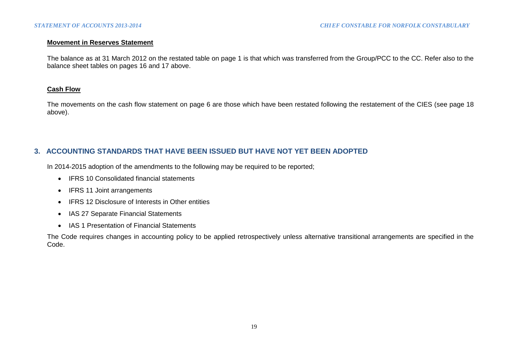#### **Movement in Reserves Statement**

The balance as at 31 March 2012 on the restated table on page 1 is that which was transferred from the Group/PCC to the CC. Refer also to the balance sheet tables on pages 16 and 17 above.

## **Cash Flow**

The movements on the cash flow statement on page 6 are those which have been restated following the restatement of the CIES (see page 18) above).

# **3. ACCOUNTING STANDARDS THAT HAVE BEEN ISSUED BUT HAVE NOT YET BEEN ADOPTED**

In 2014-2015 adoption of the amendments to the following may be required to be reported;

- IFRS 10 Consolidated financial statements
- IFRS 11 Joint arrangements
- IFRS 12 Disclosure of Interests in Other entities
- IAS 27 Separate Financial Statements
- IAS 1 Presentation of Financial Statements

The Code requires changes in accounting policy to be applied retrospectively unless alternative transitional arrangements are specified in the Code.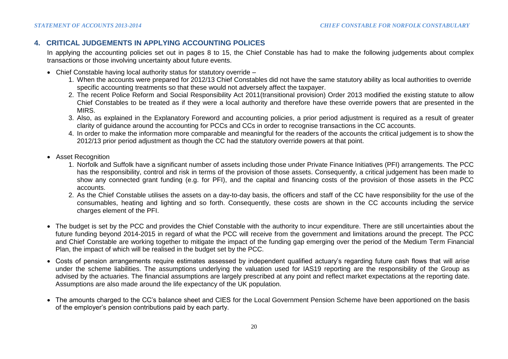# **4. CRITICAL JUDGEMENTS IN APPLYING ACCOUNTING POLICES**

In applying the accounting policies set out in pages 8 to 15, the Chief Constable has had to make the following judgements about complex transactions or those involving uncertainty about future events.

- Chief Constable having local authority status for statutory override
	- 1. When the accounts were prepared for 2012/13 Chief Constables did not have the same statutory ability as local authorities to override specific accounting treatments so that these would not adversely affect the taxpayer.
	- 2. The recent Police Reform and Social Responsibility Act 2011(transitional provision) Order 2013 modified the existing statute to allow Chief Constables to be treated as if they were a local authority and therefore have these override powers that are presented in the MIRS.
	- 3. Also, as explained in the Explanatory Foreword and accounting policies, a prior period adjustment is required as a result of greater clarity of guidance around the accounting for PCCs and CCs in order to recognise transactions in the CC accounts.
	- 4. In order to make the information more comparable and meaningful for the readers of the accounts the critical judgement is to show the 2012/13 prior period adjustment as though the CC had the statutory override powers at that point.
- Asset Recognition
	- 1. Norfolk and Suffolk have a significant number of assets including those under Private Finance Initiatives (PFI) arrangements. The PCC has the responsibility, control and risk in terms of the provision of those assets. Consequently, a critical judgement has been made to show any connected grant funding (e.g. for PFI), and the capital and financing costs of the provision of those assets in the PCC accounts.
	- 2. As the Chief Constable utilises the assets on a day-to-day basis, the officers and staff of the CC have responsibility for the use of the consumables, heating and lighting and so forth. Consequently, these costs are shown in the CC accounts including the service charges element of the PFI.
- The budget is set by the PCC and provides the Chief Constable with the authority to incur expenditure. There are still uncertainties about the future funding beyond 2014-2015 in regard of what the PCC will receive from the government and limitations around the precept. The PCC and Chief Constable are working together to mitigate the impact of the funding gap emerging over the period of the Medium Term Financial Plan, the impact of which will be realised in the budget set by the PCC.
- Costs of pension arrangements require estimates assessed by independent qualified actuary's regarding future cash flows that will arise under the scheme liabilities. The assumptions underlying the valuation used for IAS19 reporting are the responsibility of the Group as advised by the actuaries. The financial assumptions are largely prescribed at any point and reflect market expectations at the reporting date. Assumptions are also made around the life expectancy of the UK population.
- The amounts charged to the CC's balance sheet and CIES for the Local Government Pension Scheme have been apportioned on the basis of the employer's pension contributions paid by each party.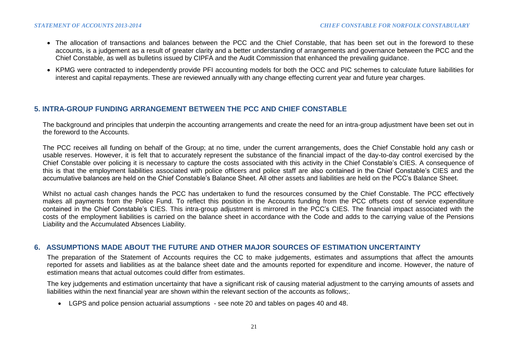- The allocation of transactions and balances between the PCC and the Chief Constable, that has been set out in the foreword to these accounts, is a judgement as a result of greater clarity and a better understanding of arrangements and governance between the PCC and the Chief Constable, as well as bulletins issued by CIPFA and the Audit Commission that enhanced the prevailing guidance.
- KPMG were contracted to independently provide PFI accounting models for both the OCC and PIC schemes to calculate future liabilities for interest and capital repayments. These are reviewed annually with any change effecting current year and future year charges.

## **5. INTRA-GROUP FUNDING ARRANGEMENT BETWEEN THE PCC AND CHIEF CONSTABLE**

The background and principles that underpin the accounting arrangements and create the need for an intra-group adjustment have been set out in the foreword to the Accounts.

The PCC receives all funding on behalf of the Group; at no time, under the current arrangements, does the Chief Constable hold any cash or usable reserves. However, it is felt that to accurately represent the substance of the financial impact of the day-to-day control exercised by the Chief Constable over policing it is necessary to capture the costs associated with this activity in the Chief Constable's CIES. A consequence of this is that the employment liabilities associated with police officers and police staff are also contained in the Chief Constable's CIES and the accumulative balances are held on the Chief Constable's Balance Sheet. All other assets and liabilities are held on the PCC's Balance Sheet.

Whilst no actual cash changes hands the PCC has undertaken to fund the resources consumed by the Chief Constable. The PCC effectively makes all payments from the Police Fund. To reflect this position in the Accounts funding from the PCC offsets cost of service expenditure contained in the Chief Constable's CIES. This intra-group adjustment is mirrored in the PCC's CIES. The financial impact associated with the costs of the employment liabilities is carried on the balance sheet in accordance with the Code and adds to the carrying value of the Pensions Liability and the Accumulated Absences Liability.

## **6. ASSUMPTIONS MADE ABOUT THE FUTURE AND OTHER MAJOR SOURCES OF ESTIMATION UNCERTAINTY**

The preparation of the Statement of Accounts requires the CC to make judgements, estimates and assumptions that affect the amounts reported for assets and liabilities as at the balance sheet date and the amounts reported for expenditure and income. However, the nature of estimation means that actual outcomes could differ from estimates.

The key judgements and estimation uncertainty that have a significant risk of causing material adjustment to the carrying amounts of assets and liabilities within the next financial year are shown within the relevant section of the accounts as follows;.

LGPS and police pension actuarial assumptions - see note 20 and tables on pages 40 and 48.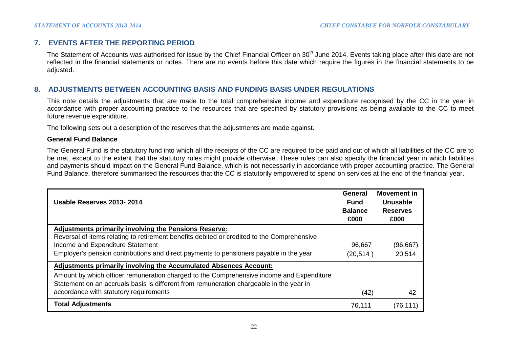## **7. EVENTS AFTER THE REPORTING PERIOD**

The Statement of Accounts was authorised for issue by the Chief Financial Officer on 30<sup>th</sup> June 2014. Events taking place after this date are not reflected in the financial statements or notes. There are no events before this date which require the figures in the financial statements to be adjusted.

## **8. ADJUSTMENTS BETWEEN ACCOUNTING BASIS AND FUNDING BASIS UNDER REGULATIONS**

This note details the adjustments that are made to the total comprehensive income and expenditure recognised by the CC in the year in accordance with proper accounting practice to the resources that are specified by statutory provisions as being available to the CC to meet future revenue expenditure.

The following sets out a description of the reserves that the adjustments are made against.

### **General Fund Balance**

The General Fund is the statutory fund into which all the receipts of the CC are required to be paid and out of which all liabilities of the CC are to be met, except to the extent that the statutory rules might provide otherwise. These rules can also specify the financial year in which liabilities and payments should impact on the General Fund Balance, which is not necessarily in accordance with proper accounting practice. The General Fund Balance, therefore summarised the resources that the CC is statutorily empowered to spend on services at the end of the financial year.

| Usable Reserves 2013-2014                                                                                                                                                           | General<br><b>Fund</b><br><b>Balance</b><br>£000 | <b>Movement in</b><br>Unusable<br><b>Reserves</b><br>£000 |
|-------------------------------------------------------------------------------------------------------------------------------------------------------------------------------------|--------------------------------------------------|-----------------------------------------------------------|
| <b>Adjustments primarily involving the Pensions Reserve:</b>                                                                                                                        |                                                  |                                                           |
| Reversal of items relating to retirement benefits debited or credited to the Comprehensive                                                                                          |                                                  |                                                           |
| Income and Expenditure Statement                                                                                                                                                    | 96,667                                           | (96, 667)                                                 |
| Employer's pension contributions and direct payments to pensioners payable in the year                                                                                              | (20, 514)                                        | 20,514                                                    |
| Adjustments primarily involving the Accumulated Absences Account:                                                                                                                   |                                                  |                                                           |
| Amount by which officer remuneration charged to the Comprehensive income and Expenditure<br>Statement on an accruals basis is different from remuneration chargeable in the year in |                                                  |                                                           |
| accordance with statutory requirements                                                                                                                                              | (42)                                             | 42                                                        |
| <b>Total Adjustments</b>                                                                                                                                                            | 76,111                                           | (76, 111)                                                 |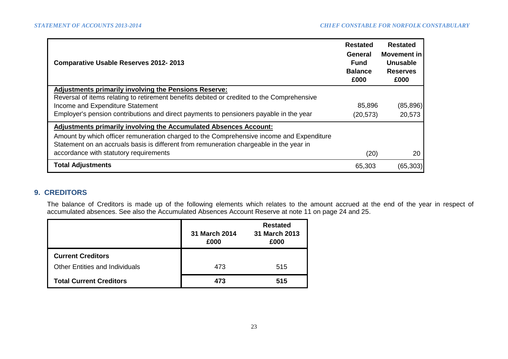| <b>Comparative Usable Reserves 2012-2013</b>                                                                                                                                        | <b>Restated</b><br><b>General</b><br><b>Fund</b><br><b>Balance</b><br>£000 | <b>Restated</b><br><b>Movement in</b><br>Unusable<br><b>Reserves</b><br>£000 |
|-------------------------------------------------------------------------------------------------------------------------------------------------------------------------------------|----------------------------------------------------------------------------|------------------------------------------------------------------------------|
| <b>Adjustments primarily involving the Pensions Reserve:</b>                                                                                                                        |                                                                            |                                                                              |
| Reversal of items relating to retirement benefits debited or credited to the Comprehensive<br>Income and Expenditure Statement                                                      | 85,896                                                                     | (85, 896)                                                                    |
|                                                                                                                                                                                     |                                                                            |                                                                              |
| Employer's pension contributions and direct payments to pensioners payable in the year                                                                                              | (20, 573)                                                                  | 20,573                                                                       |
| <u>Adjustments primarily involving the Accumulated Absences Account:</u>                                                                                                            |                                                                            |                                                                              |
| Amount by which officer remuneration charged to the Comprehensive income and Expenditure<br>Statement on an accruals basis is different from remuneration chargeable in the year in |                                                                            |                                                                              |
| accordance with statutory requirements                                                                                                                                              | (20)                                                                       | 20                                                                           |
| <b>Total Adjustments</b>                                                                                                                                                            | 65,303                                                                     | (65, 303)                                                                    |

## **9. CREDITORS**

The balance of Creditors is made up of the following elements which relates to the amount accrued at the end of the year in respect of accumulated absences. See also the Accumulated Absences Account Reserve at note 11 on page 24 and 25.

|                                       | 31 March 2014<br>£000 | <b>Restated</b><br>31 March 2013<br>£000 |
|---------------------------------------|-----------------------|------------------------------------------|
| <b>Current Creditors</b>              |                       |                                          |
| <b>Other Entities and Individuals</b> | 473                   | 515                                      |
| <b>Total Current Creditors</b>        | 473                   | 515                                      |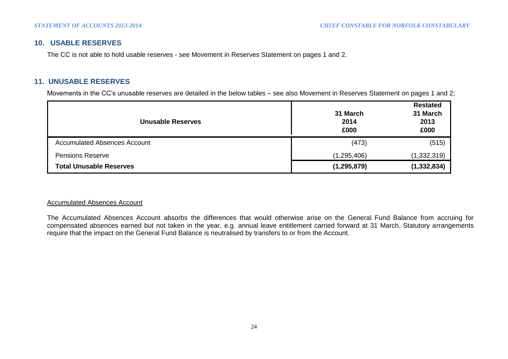## **10. USABLE RESERVES**

The CC is not able to hold usable reserves - see Movement in Reserves Statement on pages 1 and 2.

## **11. UNUSABLE RESERVES**

Movements in the CC's unusable reserves are detailed in the below tables – see also Movement in Reserves Statement on pages 1 and 2;

| <b>Unusable Reserves</b>       | 31 March<br>2014<br>£000 | <b>Restated</b><br>31 March<br>2013<br>£000 |
|--------------------------------|--------------------------|---------------------------------------------|
| Accumulated Absences Account   | (473)                    | (515)                                       |
| <b>Pensions Reserve</b>        | (1,295,406)              | (1,332,319)                                 |
| <b>Total Unusable Reserves</b> | (1, 295, 879)            | (1, 332, 834)                               |

### Accumulated Absences Account

The Accumulated Absences Account absorbs the differences that would otherwise arise on the General Fund Balance from accruing for compensated absences earned but not taken in the year, e.g. annual leave entitlement carried forward at 31 March. Statutory arrangements require that the impact on the General Fund Balance is neutralised by transfers to or from the Account.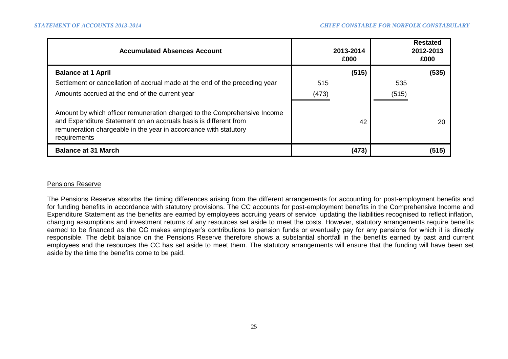| <b>Accumulated Absences Account</b>                                                                                                                                                                                              | 2013-2014<br>£000 |       | <b>Restated</b><br>2012-2013<br>£000 |
|----------------------------------------------------------------------------------------------------------------------------------------------------------------------------------------------------------------------------------|-------------------|-------|--------------------------------------|
| <b>Balance at 1 April</b>                                                                                                                                                                                                        | (515)             |       | (535)                                |
| Settlement or cancellation of accrual made at the end of the preceding year                                                                                                                                                      | 515               | 535   |                                      |
| Amounts accrued at the end of the current year                                                                                                                                                                                   | (473)             | (515) |                                      |
| Amount by which officer remuneration charged to the Comprehensive Income<br>and Expenditure Statement on an accruals basis is different from<br>remuneration chargeable in the year in accordance with statutory<br>requirements |                   | 42    | 20                                   |
| <b>Balance at 31 March</b>                                                                                                                                                                                                       | (473)             |       | (515)                                |

### Pensions Reserve

The Pensions Reserve absorbs the timing differences arising from the different arrangements for accounting for post-employment benefits and for funding benefits in accordance with statutory provisions. The CC accounts for post-employment benefits in the Comprehensive Income and Expenditure Statement as the benefits are earned by employees accruing years of service, updating the liabilities recognised to reflect inflation, changing assumptions and investment returns of any resources set aside to meet the costs. However, statutory arrangements require benefits earned to be financed as the CC makes employer's contributions to pension funds or eventually pay for any pensions for which it is directly responsible. The debit balance on the Pensions Reserve therefore shows a substantial shortfall in the benefits earned by past and current employees and the resources the CC has set aside to meet them. The statutory arrangements will ensure that the funding will have been set aside by the time the benefits come to be paid.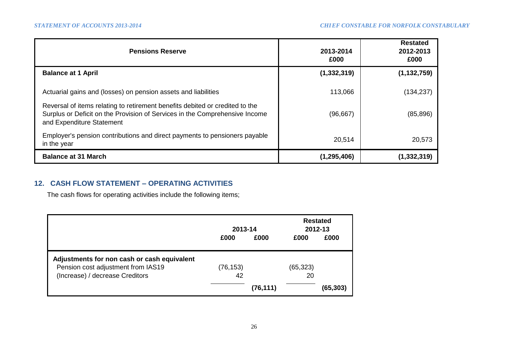| <b>Pensions Reserve</b>                                                                                                                                                                  | 2013-2014<br>£000 | <b>Restated</b><br>2012-2013<br>£000 |
|------------------------------------------------------------------------------------------------------------------------------------------------------------------------------------------|-------------------|--------------------------------------|
| <b>Balance at 1 April</b>                                                                                                                                                                | (1, 332, 319)     | (1, 132, 759)                        |
| Actuarial gains and (losses) on pension assets and liabilities                                                                                                                           | 113,066           | (134, 237)                           |
| Reversal of items relating to retirement benefits debited or credited to the<br>Surplus or Deficit on the Provision of Services in the Comprehensive Income<br>and Expenditure Statement | (96, 667)         | (85,896)                             |
| Employer's pension contributions and direct payments to pensioners payable<br>in the year                                                                                                | 20,514            | 20,573                               |
| <b>Balance at 31 March</b>                                                                                                                                                               | (1, 295, 406)     | (1,332,319)                          |

# **12. CASH FLOW STATEMENT – OPERATING ACTIVITIES**

The cash flows for operating activities include the following items;

|                                             | 2013-14   |           | <b>Restated</b><br>2012-13 |          |
|---------------------------------------------|-----------|-----------|----------------------------|----------|
|                                             | £000      | £000      | £000                       | £000     |
| Adjustments for non cash or cash equivalent |           |           |                            |          |
| Pension cost adjustment from IAS19          | (76, 153) |           | (65, 323)                  |          |
| (Increase) / decrease Creditors             | 42        |           | 20                         |          |
|                                             |           | (76, 111) |                            | (65,303) |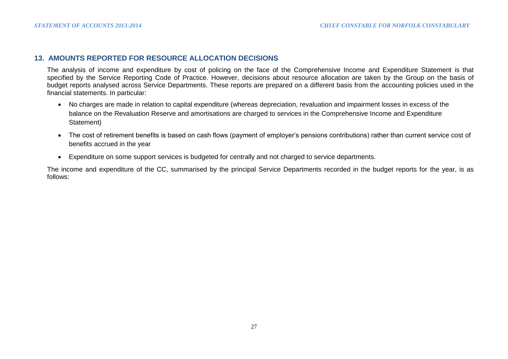### **13. AMOUNTS REPORTED FOR RESOURCE ALLOCATION DECISIONS**

The analysis of income and expenditure by cost of policing on the face of the Comprehensive Income and Expenditure Statement is that specified by the Service Reporting Code of Practice. However, decisions about resource allocation are taken by the Group on the basis of budget reports analysed across Service Departments. These reports are prepared on a different basis from the accounting policies used in the financial statements. In particular:

- No charges are made in relation to capital expenditure (whereas depreciation, revaluation and impairment losses in excess of the balance on the Revaluation Reserve and amortisations are charged to services in the Comprehensive Income and Expenditure Statement)
- The cost of retirement benefits is based on cash flows (payment of employer's pensions contributions) rather than current service cost of benefits accrued in the year
- Expenditure on some support services is budgeted for centrally and not charged to service departments.

The income and expenditure of the CC, summarised by the principal Service Departments recorded in the budget reports for the year, is as follows: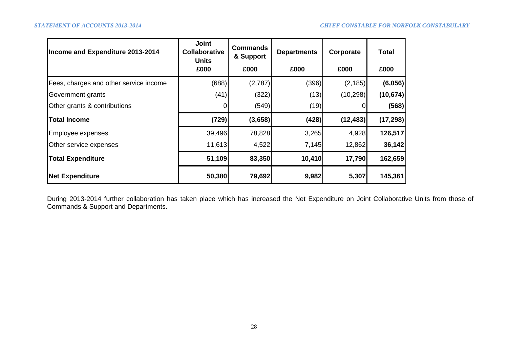| Income and Expenditure 2013-2014       | <b>Joint</b><br>Collaborative<br><b>Units</b> | <b>Commands</b><br>& Support | <b>Departments</b> | Corporate | <b>Total</b> |
|----------------------------------------|-----------------------------------------------|------------------------------|--------------------|-----------|--------------|
|                                        | £000                                          | £000                         | £000               | £000      | £000         |
| Fees, charges and other service income | (688)                                         | (2,787)                      | (396)              | (2, 185)  | (6,056)      |
| Government grants                      | (41)                                          | (322)                        | (13)               | (10, 298) | (10, 674)    |
| Other grants & contributions           | 0                                             | (549)                        | (19)               |           | (568)        |
| <b>Total Income</b>                    | (729)                                         | (3,658)                      | (428)              | (12, 483) | (17, 298)    |
| Employee expenses                      | 39,496                                        | 78,828                       | 3,265              | 4,928     | 126,517      |
| Other service expenses                 | 11,613                                        | 4,522                        | 7,145              | 12,862    | 36,142       |
| <b>Total Expenditure</b>               | 51,109                                        | 83,350                       | 10,410             | 17,790    | 162,659      |
| <b>Net Expenditure</b>                 | 50,380                                        | 79,692                       | 9,982              | 5,307     | 145,361      |

During 2013-2014 further collaboration has taken place which has increased the Net Expenditure on Joint Collaborative Units from those of Commands & Support and Departments.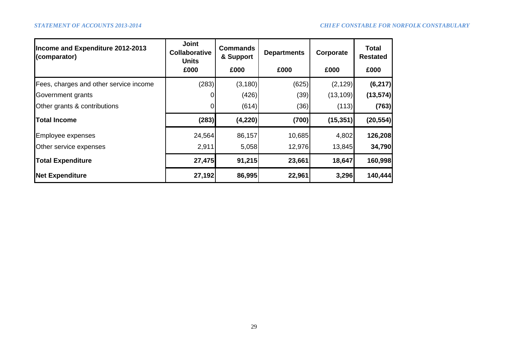| Income and Expenditure 2012-2013<br>(comparator) | <b>Joint</b><br><b>Commands</b><br><b>Collaborative</b><br>& Support<br><b>Units</b> |          | <b>Departments</b> | Corporate | <b>Total</b><br><b>Restated</b> |  |
|--------------------------------------------------|--------------------------------------------------------------------------------------|----------|--------------------|-----------|---------------------------------|--|
|                                                  | £000                                                                                 | £000     | £000               | £000      | £000                            |  |
| Fees, charges and other service income           | (283)                                                                                | (3, 180) | (625)              | (2, 129)  | (6, 217)                        |  |
| Government grants                                |                                                                                      | (426)    | (39)               | (13, 109) | (13, 574)                       |  |
| Other grants & contributions                     |                                                                                      | (614)    | (36)               | (113)     | (763)                           |  |
| <b>Total Income</b>                              | (283)                                                                                | (4, 220) | (700)              | (15, 351) | (20, 554)                       |  |
| <b>Employee expenses</b>                         | 24,564                                                                               | 86,157   | 10,685             | 4,802     | 126,208                         |  |
| Other service expenses                           | 2,911                                                                                | 5,058    | 12,976             | 13,845    | 34,790                          |  |
| <b>Total Expenditure</b>                         | 27,475                                                                               | 91,215   | 23,661             | 18,647    | 160,998                         |  |
| <b>Net Expenditure</b>                           | 27,192                                                                               | 86,995   | 22,961             | 3,296     | 140,444                         |  |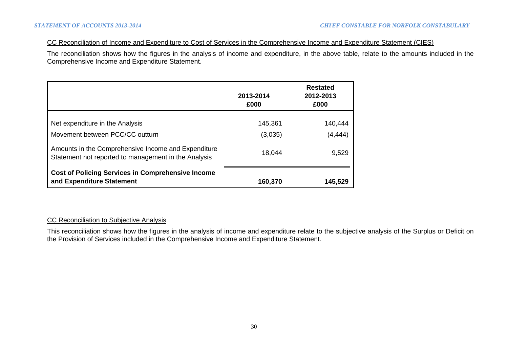### CC Reconciliation of Income and Expenditure to Cost of Services in the Comprehensive Income and Expenditure Statement (CIES)

The reconciliation shows how the figures in the analysis of income and expenditure, in the above table, relate to the amounts included in the Comprehensive Income and Expenditure Statement.

|                                                                                                             | 2013-2014<br>£000  | <b>Restated</b><br>2012-2013<br>£000 |
|-------------------------------------------------------------------------------------------------------------|--------------------|--------------------------------------|
| Net expenditure in the Analysis<br>Movement between PCC/CC outturn                                          | 145,361<br>(3,035) | 140,444<br>(4, 444)                  |
| Amounts in the Comprehensive Income and Expenditure<br>Statement not reported to management in the Analysis | 18,044             | 9,529                                |
| <b>Cost of Policing Services in Comprehensive Income</b><br>and Expenditure Statement                       | 160,370            | 145,529                              |

### CC Reconciliation to Subjective Analysis

This reconciliation shows how the figures in the analysis of income and expenditure relate to the subjective analysis of the Surplus or Deficit on the Provision of Services included in the Comprehensive Income and Expenditure Statement.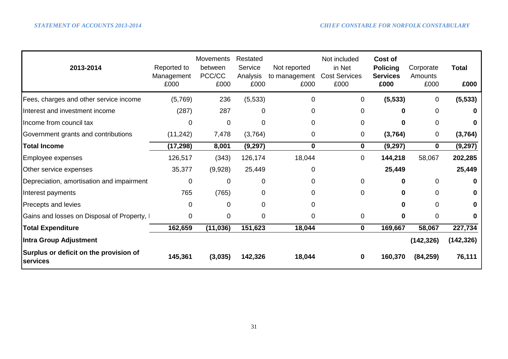| 2013-2014                                          | Reported to<br>Management<br>£000 | <b>Movements</b><br>between<br>PCC/CC<br>£000 | Restated<br>Service<br>Analysis<br>£000 | Not reported<br>to management<br>£000 | Not included<br>in Net<br><b>Cost Services</b><br>£000 | Cost of<br><b>Policing</b><br><b>Services</b><br>£000 | Corporate<br>Amounts<br>£000 | <b>Total</b><br>£000 |
|----------------------------------------------------|-----------------------------------|-----------------------------------------------|-----------------------------------------|---------------------------------------|--------------------------------------------------------|-------------------------------------------------------|------------------------------|----------------------|
| Fees, charges and other service income             | (5,769)                           | 236                                           | (5,533)                                 | 0                                     | 0                                                      | (5, 533)                                              | 0                            | (5, 533)             |
| Interest and investment income                     | (287)                             | 287                                           | 0                                       | 0                                     | 0                                                      |                                                       | 0                            | 0                    |
| Income from council tax                            | 0                                 | $\overline{0}$                                | $\overline{0}$                          | 0                                     | 0                                                      | O                                                     | 0                            | 0                    |
| Government grants and contributions                | (11, 242)                         | 7,478                                         | (3,764)                                 | 0                                     | 0                                                      | (3,764)                                               | 0                            | (3,764)              |
| <b>Total Income</b>                                | (17, 298)                         | 8,001                                         | (9,297)                                 | $\bf{0}$                              | 0                                                      | (9, 297)                                              | 0                            | (9, 297)             |
| Employee expenses                                  | 126,517                           | (343)                                         | 126,174                                 | 18,044                                | 0                                                      | 144,218                                               | 58,067                       | 202,285              |
| Other service expenses                             | 35,377                            | (9,928)                                       | 25,449                                  | 0                                     |                                                        | 25,449                                                |                              | 25,449               |
| Depreciation, amortisation and impairment          | 0                                 | $\overline{0}$                                | 0                                       | 0                                     | $\overline{0}$                                         |                                                       | 0                            | $\mathbf{0}$         |
| Interest payments                                  | 765                               | (765)                                         | $\Omega$                                | $\Omega$                              | $\mathbf 0$                                            |                                                       | $\Omega$                     | $\mathbf{0}$         |
| <b>Precepts and levies</b>                         | $\Omega$                          | $\Omega$                                      | $\Omega$                                | $\Omega$                              |                                                        |                                                       | $\Omega$                     | $\mathbf{0}$         |
| Gains and losses on Disposal of Property, I        | $\Omega$                          | 0                                             | 0                                       | 0                                     | $\mathbf 0$                                            | 0                                                     | $\overline{0}$               | 0                    |
| <b>Total Expenditure</b>                           | 162,659                           | (11, 036)                                     | 151,623                                 | 18,044                                | $\mathbf 0$                                            | 169,667                                               | 58,067                       | 227,734              |
| Intra Group Adjustment                             |                                   |                                               |                                         |                                       |                                                        |                                                       | (142, 326)                   | (142, 326)           |
| Surplus or deficit on the provision of<br>services | 145,361                           | (3,035)                                       | 142,326                                 | 18,044                                | $\bf{0}$                                               | 160,370                                               | (84, 259)                    | 76,111               |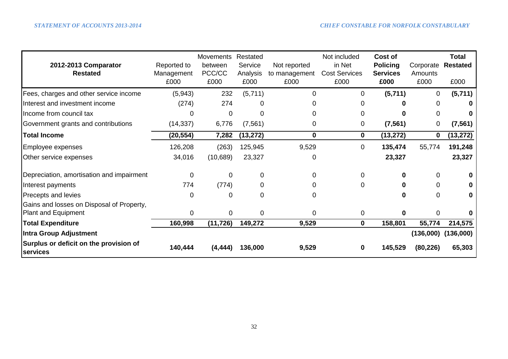|                                                    |             | Movements | Restated  |               | Not included         | Cost of         |             | Total           |
|----------------------------------------------------|-------------|-----------|-----------|---------------|----------------------|-----------------|-------------|-----------------|
| 2012-2013 Comparator                               | Reported to | between   | Service   | Not reported  | in Net               | <b>Policing</b> | Corporate   | <b>Restated</b> |
| <b>Restated</b>                                    | Management  | PCC/CC    | Analysis  | to management | <b>Cost Services</b> | <b>Services</b> | Amounts     |                 |
|                                                    | £000        | £000      | £000      | £000          | £000                 | £000            | £000        | £000            |
| Fees, charges and other service income             | (5,943)     | 232       | (5,711)   | $\mathbf 0$   | 0                    | (5,711)         | $\mathbf 0$ | (5,711)         |
| Interest and investment income                     | (274)       | 274       |           |               |                      |                 | 0           | 0               |
| Income from council tax                            | 0           | 0         | 0         | 0             | 0                    |                 | 0           | 0               |
| Government grants and contributions                | (14, 337)   | 6,776     | (7, 561)  | 0             | 0                    | (7, 561)        | $\mathbf 0$ | (7, 561)        |
| <b>Total Income</b>                                | (20, 554)   | 7,282     | (13, 272) | $\mathbf 0$   | 0                    | (13, 272)       | 0           | (13,272)        |
| Employee expenses                                  | 126,208     | (263)     | 125,945   | 9,529         | 0                    | 135,474         | 55,774      | 191,248         |
| Other service expenses                             | 34,016      | (10, 689) | 23,327    | 0             |                      | 23,327          |             | 23,327          |
| Depreciation, amortisation and impairment          | 0           | $\Omega$  | 0         | 0             |                      | 0               | 0           | 0               |
| Interest payments                                  | 774         | (774)     | 0         | 0             | 0                    |                 | 0           | 0               |
| Precepts and levies                                | 0           | 0         | 0         | 0             |                      | 0               | $\Omega$    | 0               |
| Gains and losses on Disposal of Property,          |             |           |           |               |                      |                 |             |                 |
| Plant and Equipment                                | 0           | 0         | 0         | $\mathbf 0$   | 0                    | 0               | 0           | 0               |
| <b>Total Expenditure</b>                           | 160,998     | (11, 726) | 149,272   | 9,529         | $\mathbf{0}$         | 158,801         | 55,774      | 214,575         |
| <b>Intra Group Adjustment</b>                      |             |           |           |               |                      |                 | (136,000)   | (136,000)       |
| Surplus or deficit on the provision of<br>services | 140,444     | (4, 444)  | 136,000   | 9,529         | 0                    | 145,529         | (80, 226)   | 65,303          |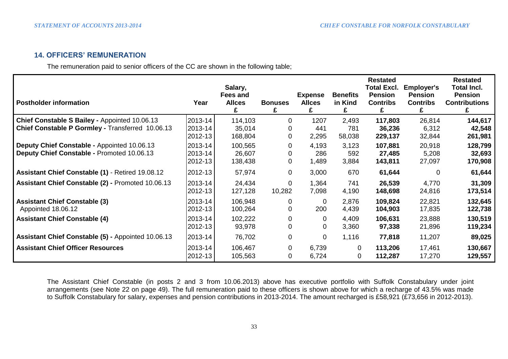## **14. OFFICERS' REMUNERATION**

The remuneration paid to senior officers of the CC are shown in the following table;

| <b>Postholder information</b>                                                                     | Year                          | Salary,<br><b>Fees and</b><br><b>Allces</b> | <b>Bonuses</b> | <b>Expense</b><br><b>Allces</b> | <b>Benefits</b><br>in Kind | <b>Restated</b><br><b>Total Excl.</b><br><b>Pension</b><br><b>Contribs</b><br>£ | <b>Employer's</b><br><b>Pension</b><br><b>Contribs</b> | <b>Restated</b><br><b>Total Incl.</b><br><b>Pension</b><br><b>Contributions</b> |
|---------------------------------------------------------------------------------------------------|-------------------------------|---------------------------------------------|----------------|---------------------------------|----------------------------|---------------------------------------------------------------------------------|--------------------------------------------------------|---------------------------------------------------------------------------------|
| Chief Constable S Bailey - Appointed 10.06.13<br>Chief Constable P Gormley - Transferred 10.06.13 | 2013-14<br>2013-14<br>2012-13 | 114,103<br>35,014<br>168,804                | 0<br>0         | 1207<br>441<br>2,295            | 2,493<br>781<br>58,038     | 117,803<br>36,236<br>229,137                                                    | 26,814<br>6,312<br>32,844                              | 144,617<br>42,548<br>261,981                                                    |
| Deputy Chief Constable - Appointed 10.06.13<br>Deputy Chief Constable - Promoted 10.06.13         | 2013-14<br>2013-14<br>2012-13 | 100,565<br>26,607<br>138,438                | 0<br>0<br>0    | 4,193<br>286<br>1,489           | 3,123<br>592<br>3,884      | 107,881<br>27,485<br>143,811                                                    | 20,918<br>5,208<br>27,097                              | 128,799<br>32,693<br>170,908                                                    |
| Assistant Chief Constable (1) - Retired 19.08.12                                                  | 2012-13                       | 57,974                                      | 0              | 3,000                           | 670                        | 61,644                                                                          | 0                                                      | 61,644                                                                          |
| Assistant Chief Constable (2) - Promoted 10.06.13                                                 | 2013-14<br>2012-13            | 24,434<br>127,128                           | 0<br>10,282    | 1,364<br>7,098                  | 741<br>4,190               | 26,539<br>148,698                                                               | 4,770<br>24,816                                        | 31,309<br>173,514                                                               |
| <b>Assistant Chief Constable (3)</b><br>Appointed 18.06.12                                        | 2013-14<br>2012-13            | 106,948<br>100,264                          | 0<br>0         | $\mathbf 0$<br>200              | 2,876<br>4,439             | 109,824<br>104,903                                                              | 22,821<br>17,835                                       | 132,645<br>122,738                                                              |
| <b>Assistant Chief Constable (4)</b>                                                              | 2013-14<br>2012-13            | 102,222<br>93,978                           | 0              | 0<br>0                          | 4,409<br>3,360             | 106,631<br>97,338                                                               | 23,888<br>21,896                                       | 130,519<br>119,234                                                              |
| Assistant Chief Constable (5) - Appointed 10.06.13                                                | 2013-14                       | 76,702                                      | 0              | $\mathbf 0$                     | 1,116                      | 77,818                                                                          | 11,207                                                 | 89,025                                                                          |
| <b>Assistant Chief Officer Resources</b>                                                          | 2013-14<br>2012-13            | 106,467<br>105,563                          | 0<br>0         | 6,739<br>6,724                  | 0<br>0                     | 113,206<br>112,287                                                              | 17,461<br>17,270                                       | 130,667<br>129,557                                                              |

The Assistant Chief Constable (in posts 2 and 3 from 10.06.2013) above has executive portfolio with Suffolk Constabulary under joint arrangements (see Note 22 on page 49). The full remuneration paid to these officers is shown above for which a recharge of 43.5% was made to Suffolk Constabulary for salary, expenses and pension contributions in 2013-2014. The amount recharged is £58,921 (£73,656 in 2012-2013).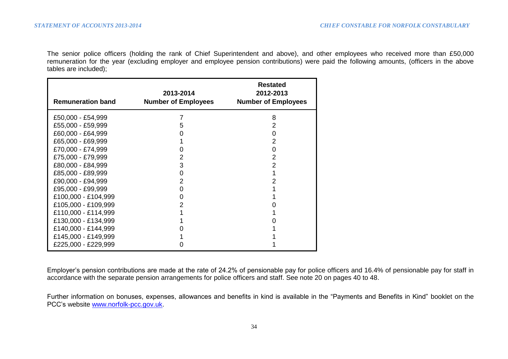The senior police officers (holding the rank of Chief Superintendent and above), and other employees who received more than £50,000 remuneration for the year (excluding employer and employee pension contributions) were paid the following amounts, (officers in the above tables are included);

| <b>Remuneration band</b> | 2013-2014<br><b>Number of Employees</b> | <b>Restated</b><br>2012-2013<br><b>Number of Employees</b> |
|--------------------------|-----------------------------------------|------------------------------------------------------------|
| £50,000 - £54,999        |                                         | 8                                                          |
| £55,000 - £59,999        | 5                                       | 2                                                          |
| £60,000 - £64,999        | 0                                       | 0                                                          |
| £65,000 - £69,999        |                                         | 2                                                          |
| £70,000 - £74,999        |                                         | 0                                                          |
| £75,000 - £79,999        | 2                                       | 2                                                          |
| £80,000 - £84,999        | 3                                       | 2                                                          |
| £85,000 - £89,999        | 0                                       |                                                            |
| £90,000 - £94,999        | 2                                       | 2                                                          |
| £95,000 - £99,999        | 0                                       |                                                            |
| £100,000 - £104,999      | 0                                       |                                                            |
| £105,000 - £109,999      | 2                                       |                                                            |
| £110,000 - £114,999      |                                         |                                                            |
| £130,000 - £134,999      |                                         |                                                            |
| £140,000 - £144,999      |                                         |                                                            |
| £145,000 - £149,999      |                                         |                                                            |
| £225,000 - £229,999      |                                         |                                                            |

Employer's pension contributions are made at the rate of 24.2% of pensionable pay for police officers and 16.4% of pensionable pay for staff in accordance with the separate pension arrangements for police officers and staff. See note 20 on pages 40 to 48.

Further information on bonuses, expenses, allowances and benefits in kind is available in the "Payments and Benefits in Kind" booklet on the PCC's website [www.norfolk-pcc.gov.uk.](http://www.norfolk-pcc.gov.uk/)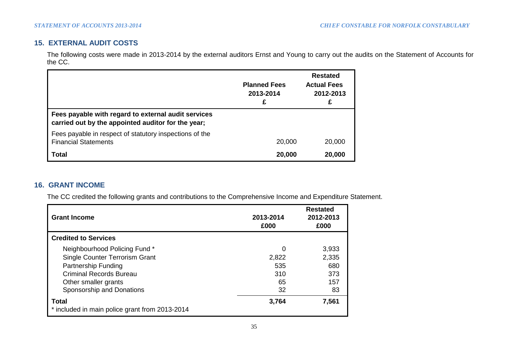# **15. EXTERNAL AUDIT COSTS**

The following costs were made in 2013-2014 by the external auditors Ernst and Young to carry out the audits on the Statement of Accounts for the CC.

|                                                                                                           | <b>Planned Fees</b><br>2013-2014<br>£ | <b>Restated</b><br><b>Actual Fees</b><br>2012-2013<br>£ |
|-----------------------------------------------------------------------------------------------------------|---------------------------------------|---------------------------------------------------------|
| Fees payable with regard to external audit services<br>carried out by the appointed auditor for the year; |                                       |                                                         |
| Fees payable in respect of statutory inspections of the<br><b>Financial Statements</b>                    | 20,000                                | 20,000                                                  |
| Total                                                                                                     | 20,000                                | 20,000                                                  |

## **16. GRANT INCOME**

The CC credited the following grants and contributions to the Comprehensive Income and Expenditure Statement.

| <b>Grant Income</b>                                            | 2013-2014<br>£000 | <b>Restated</b><br>2012-2013<br>£000 |
|----------------------------------------------------------------|-------------------|--------------------------------------|
| <b>Credited to Services</b>                                    |                   |                                      |
| Neighbourhood Policing Fund *                                  | 0                 | 3,933                                |
| Single Counter Terrorism Grant                                 | 2,822             | 2,335                                |
| <b>Partnership Funding</b>                                     | 535               | 680                                  |
| <b>Criminal Records Bureau</b>                                 | 310               | 373                                  |
| Other smaller grants                                           | 65                | 157                                  |
| Sponsorship and Donations                                      | 32                | 83                                   |
| <b>Total</b><br>* included in main police grant from 2013-2014 | 3.764             | 7,561                                |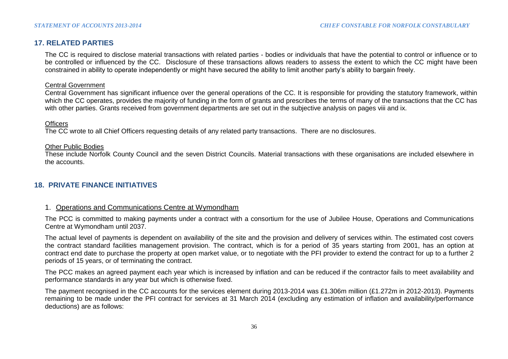## **17. RELATED PARTIES**

The CC is required to disclose material transactions with related parties - bodies or individuals that have the potential to control or influence or to be controlled or influenced by the CC. Disclosure of these transactions allows readers to assess the extent to which the CC might have been constrained in ability to operate independently or might have secured the ability to limit another party's ability to bargain freely.

### Central Government

Central Government has significant influence over the general operations of the CC. It is responsible for providing the statutory framework, within which the CC operates, provides the majority of funding in the form of grants and prescribes the terms of many of the transactions that the CC has with other parties. Grants received from government departments are set out in the subjective analysis on pages viii and ix.

### **Officers**

The CC wrote to all Chief Officers requesting details of any related party transactions. There are no disclosures.

#### Other Public Bodies

These include Norfolk County Council and the seven District Councils. Material transactions with these organisations are included elsewhere in the accounts.

## **18. PRIVATE FINANCE INITIATIVES**

### 1. Operations and Communications Centre at Wymondham

The PCC is committed to making payments under a contract with a consortium for the use of Jubilee House, Operations and Communications Centre at Wymondham until 2037.

The actual level of payments is dependent on availability of the site and the provision and delivery of services within. The estimated cost covers the contract standard facilities management provision. The contract, which is for a period of 35 years starting from 2001, has an option at contract end date to purchase the property at open market value, or to negotiate with the PFI provider to extend the contract for up to a further 2 periods of 15 years, or of terminating the contract.

The PCC makes an agreed payment each year which is increased by inflation and can be reduced if the contractor fails to meet availability and performance standards in any year but which is otherwise fixed.

The payment recognised in the CC accounts for the services element during 2013-2014 was £1.306m million (£1.272m in 2012-2013). Payments remaining to be made under the PFI contract for services at 31 March 2014 (excluding any estimation of inflation and availability/performance deductions) are as follows: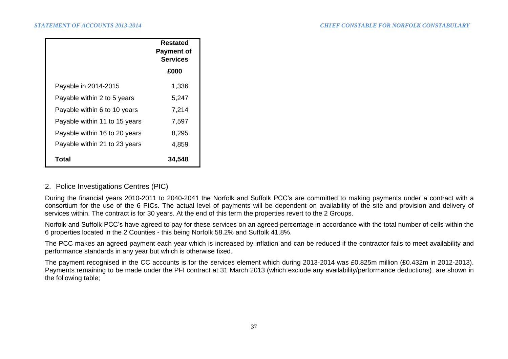|                               | Restated<br><b>Payment of</b><br><b>Services</b> |
|-------------------------------|--------------------------------------------------|
|                               | £000                                             |
| Payable in 2014-2015          | 1,336                                            |
| Payable within 2 to 5 years   | 5,247                                            |
| Payable within 6 to 10 years  | 7,214                                            |
| Payable within 11 to 15 years | 7,597                                            |
| Payable within 16 to 20 years | 8,295                                            |
| Payable within 21 to 23 years | 4,859                                            |
| Total                         | 34,548                                           |

### 2. Police Investigations Centres (PIC)

During the financial years 2010-2011 to 2040-2041 the Norfolk and Suffolk PCC's are committed to making payments under a contract with a consortium for the use of the 6 PICs. The actual level of payments will be dependent on availability of the site and provision and delivery of services within. The contract is for 30 years. At the end of this term the properties revert to the 2 Groups.

Norfolk and Suffolk PCC's have agreed to pay for these services on an agreed percentage in accordance with the total number of cells within the 6 properties located in the 2 Counties - this being Norfolk 58.2% and Suffolk 41.8%.

The PCC makes an agreed payment each year which is increased by inflation and can be reduced if the contractor fails to meet availability and performance standards in any year but which is otherwise fixed.

The payment recognised in the CC accounts is for the services element which during 2013-2014 was £0.825m million (£0.432m in 2012-2013). Payments remaining to be made under the PFI contract at 31 March 2013 (which exclude any availability/performance deductions), are shown in the following table;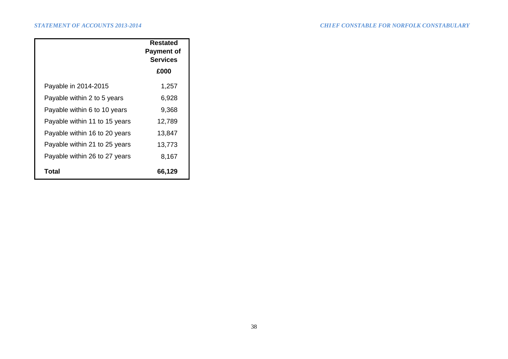|                               | <b>Restated</b><br><b>Payment of</b><br><b>Services</b> |
|-------------------------------|---------------------------------------------------------|
|                               | £000                                                    |
| Payable in 2014-2015          | 1,257                                                   |
| Payable within 2 to 5 years   | 6,928                                                   |
| Payable within 6 to 10 years  | 9,368                                                   |
| Payable within 11 to 15 years | 12,789                                                  |
| Payable within 16 to 20 years | 13,847                                                  |
| Payable within 21 to 25 years | 13,773                                                  |
| Payable within 26 to 27 years | 8,167                                                   |
| Total                         | 66,129                                                  |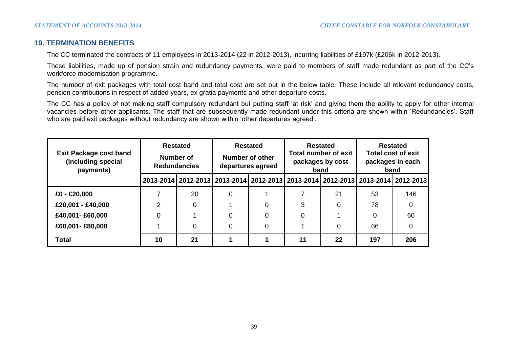## **19. TERMINATION BENEFITS**

The CC terminated the contracts of 11 employees in 2013-2014 (22 in 2012-2013), incurring liabilities of £197k (£206k in 2012-2013).

These liabilities, made up of pension strain and redundancy payments, were paid to members of staff made redundant as part of the CC's workforce modernisation programme.

The number of exit packages with total cost band and total cost are set out in the below table. These include all relevant redundancy costs, pension contributions in respect of added years, ex gratia payments and other departure costs.

The CC has a policy of not making staff compulsory redundant but putting staff 'at risk' and giving them the ability to apply for other internal vacancies before other applicants. The staff that are subsequently made redundant under this criteria are shown within 'Redundancies'. Staff who are paid exit packages without redundancy are shown within 'other departures agreed'.

| <b>Exit Package cost band</b><br>(including special<br>payments) | <b>Redundancies</b> | <b>Restated</b><br>Number of                                                                  |          | <b>Restated</b><br><b>Restated</b><br><b>Total number of exit</b><br>Number of other<br>packages by cost<br>departures agreed<br>band |    |    | <b>Restated</b><br><b>Total cost of exit</b><br>packages in each<br>band |     |
|------------------------------------------------------------------|---------------------|-----------------------------------------------------------------------------------------------|----------|---------------------------------------------------------------------------------------------------------------------------------------|----|----|--------------------------------------------------------------------------|-----|
|                                                                  |                     | 2013-2014   2012-2013   2013-2014   2012-2013   2013-2014   2012-2013   2013-2014   2012-2013 |          |                                                                                                                                       |    |    |                                                                          |     |
| £0 - £20,000                                                     |                     | 20                                                                                            | $\Omega$ |                                                                                                                                       |    | 21 | 53                                                                       | 146 |
| £20,001 - £40,000                                                | $\mathcal{P}$       | 0                                                                                             |          |                                                                                                                                       | 3  |    | 78                                                                       |     |
| £40,001-£60,000                                                  | 0                   |                                                                                               |          |                                                                                                                                       |    |    | 0                                                                        | 60  |
| £60,001-£80,000                                                  |                     | 0                                                                                             | $\Omega$ | 0                                                                                                                                     |    |    | 66                                                                       |     |
| <b>Total</b>                                                     | 10                  | 21                                                                                            |          |                                                                                                                                       | 11 | 22 | 197                                                                      | 206 |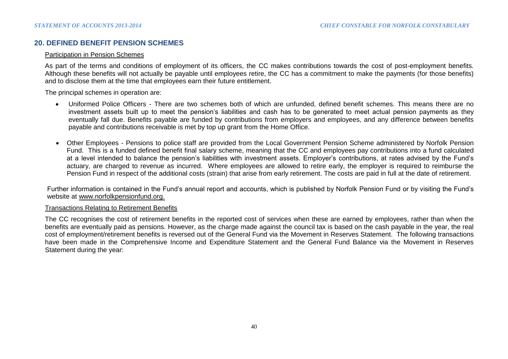## **20. DEFINED BENEFIT PENSION SCHEMES**

#### Participation in Pension Schemes

As part of the terms and conditions of employment of its officers, the CC makes contributions towards the cost of post-employment benefits. Although these benefits will not actually be payable until employees retire, the CC has a commitment to make the payments (for those benefits) and to disclose them at the time that employees earn their future entitlement.

The principal schemes in operation are:

- Uniformed Police Officers There are two schemes both of which are unfunded, defined benefit schemes. This means there are no investment assets built up to meet the pension's liabilities and cash has to be generated to meet actual pension payments as they eventually fall due. Benefits payable are funded by contributions from employers and employees, and any difference between benefits payable and contributions receivable is met by top up grant from the Home Office.
- Other Employees Pensions to police staff are provided from the Local Government Pension Scheme administered by Norfolk Pension Fund. This is a funded defined benefit final salary scheme, meaning that the CC and employees pay contributions into a fund calculated at a level intended to balance the pension's liabilities with investment assets. Employer's contributions, at rates advised by the Fund's actuary, are charged to revenue as incurred. Where employees are allowed to retire early, the employer is required to reimburse the Pension Fund in respect of the additional costs (strain) that arise from early retirement. The costs are paid in full at the date of retirement.

Further information is contained in the Fund's annual report and accounts, which is published by Norfolk Pension Fund or by visiting the Fund's website at www.norfolkpensionfund.org.

#### Transactions Relating to Retirement Benefits

The CC recognises the cost of retirement benefits in the reported cost of services when these are earned by employees, rather than when the benefits are eventually paid as pensions. However, as the charge made against the council tax is based on the cash payable in the year, the real cost of employment/retirement benefits is reversed out of the General Fund via the Movement in Reserves Statement. The following transactions have been made in the Comprehensive Income and Expenditure Statement and the General Fund Balance via the Movement in Reserves Statement during the year: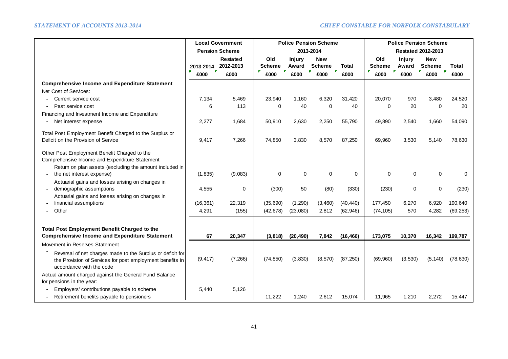|                                                                                                                                                     | <b>Local Government</b><br><b>Police Pension Scheme</b><br><b>Pension Scheme</b><br>2013-2014 |           |                | <b>Police Pension Scheme</b><br><b>Restated 2012-2013</b> |               |           |               |               |               |                      |
|-----------------------------------------------------------------------------------------------------------------------------------------------------|-----------------------------------------------------------------------------------------------|-----------|----------------|-----------------------------------------------------------|---------------|-----------|---------------|---------------|---------------|----------------------|
|                                                                                                                                                     |                                                                                               | Restated  | Old            | <b>Injury</b>                                             | <b>New</b>    |           | Old           | <b>Injury</b> | <b>New</b>    |                      |
|                                                                                                                                                     | 2013-2014                                                                                     | 2012-2013 | <b>Scheme</b>  | Award                                                     | <b>Scheme</b> | Total     | <b>Scheme</b> | Award         | <b>Scheme</b> | Total                |
|                                                                                                                                                     | $\mathbf{r}$<br>£000                                                                          | £000      | F<br>×<br>£000 | £000                                                      | F.<br>£000    | £000      | r<br>£000     | v.<br>£000    | £000          | $\mathbf{r}$<br>£000 |
| <b>Comprehensive Income and Expenditure Statement</b>                                                                                               |                                                                                               |           |                |                                                           |               |           |               |               |               |                      |
| Net Cost of Services:                                                                                                                               |                                                                                               |           |                |                                                           |               |           |               |               |               |                      |
| Current service cost                                                                                                                                | 7,134                                                                                         | 5,469     | 23,940         | 1,160                                                     | 6,320         | 31,420    | 20,070        | 970           | 3,480         | 24,520               |
| Past service cost                                                                                                                                   | 6                                                                                             | 113       | $\Omega$       | 40                                                        | $\mathbf 0$   | 40        | 0             | 20            | $\mathbf 0$   | 20                   |
| Financing and Investment Income and Expenditure                                                                                                     |                                                                                               |           |                |                                                           |               |           |               |               |               |                      |
| Net interest expense<br>$\blacksquare$                                                                                                              | 2,277                                                                                         | 1,684     | 50,910         | 2,630                                                     | 2,250         | 55,790    | 49,890        | 2,540         | 1,660         | 54,090               |
| Total Post Employment Benefit Charged to the Surplus or                                                                                             |                                                                                               |           |                |                                                           |               |           |               |               |               |                      |
| Deficit on the Provision of Service                                                                                                                 | 9,417                                                                                         | 7,266     | 74,850         | 3,830                                                     | 8,570         | 87,250    | 69,960        | 3,530         | 5,140         | 78,630               |
| Other Post Employment Benefit Charged to the<br>Comprehensive Income and Expenditure Statement                                                      |                                                                                               |           |                |                                                           |               |           |               |               |               |                      |
| Return on plan assets (excluding the amount included in<br>the net interest expense)                                                                | (1,835)                                                                                       | (9,083)   | $\mathbf 0$    | 0                                                         | $\mathbf 0$   | $\Omega$  | $\Omega$      | $\Omega$      | 0             | $\Omega$             |
| Actuarial gains and losses arising on changes in                                                                                                    |                                                                                               |           |                |                                                           |               |           |               |               |               |                      |
| demographic assumptions                                                                                                                             | 4,555                                                                                         | 0         | (300)          | 50                                                        | (80)          | (330)     | (230)         | 0             | $\mathbf 0$   | (230)                |
| Actuarial gains and losses arising on changes in                                                                                                    |                                                                                               |           |                |                                                           |               |           |               |               |               |                      |
| financial assumptions                                                                                                                               | (16, 361)                                                                                     | 22,319    | (35,690)       | (1,290)                                                   | (3,460)       | (40, 440) | 177,450       | 6,270         | 6,920         | 190,640              |
| Other                                                                                                                                               | 4,291                                                                                         | (155)     | (42, 678)      | (23,080)                                                  | 2,812         | (62, 946) | (74, 105)     | 570           | 4,282         | (69, 253)            |
| Total Post Employment Benefit Charged to the                                                                                                        |                                                                                               |           |                |                                                           |               |           |               |               |               |                      |
| <b>Comprehensive Income and Expenditure Statement</b>                                                                                               | 67                                                                                            | 20,347    | (3,818)        | (20, 490)                                                 | 7,842         | (16, 466) | 173,075       | 10,370        | 16,342        | 199,787              |
| Movement in Reserves Statement                                                                                                                      |                                                                                               |           |                |                                                           |               |           |               |               |               |                      |
| Reversal of net charges made to the Surplus or deficit for<br>the Provision of Services for post employment benefits in<br>accordance with the code | (9, 417)                                                                                      | (7, 266)  | (74, 850)      | (3,830)                                                   | (8,570)       | (87, 250) | (69,960)      | (3,530)       | (5, 140)      | (78, 630)            |
| Actual amount charged against the General Fund Balance<br>for pensions in the year:                                                                 |                                                                                               |           |                |                                                           |               |           |               |               |               |                      |
| Employers' contributions payable to scheme                                                                                                          | 5,440                                                                                         | 5,126     |                |                                                           |               |           |               |               |               |                      |
| Retirement benefits payable to pensioners                                                                                                           |                                                                                               |           | 11,222         | 1,240                                                     | 2,612         | 15,074    | 11,965        | 1,210         | 2,272         | 15,447               |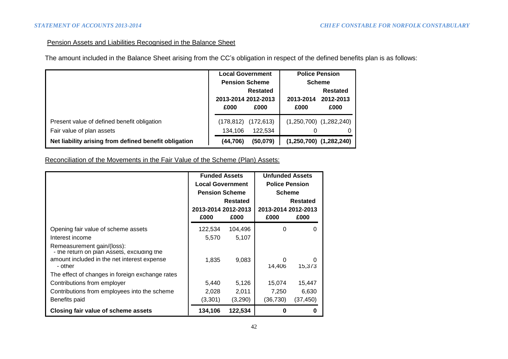## Pension Assets and Liabilities Recognised in the Balance Sheet

The amount included in the Balance Sheet arising from the CC's obligation in respect of the defined benefits plan is as follows:

|                                                       | <b>Local Government</b> |                                                                 | <b>Police Pension</b> |                             |  |
|-------------------------------------------------------|-------------------------|-----------------------------------------------------------------|-----------------------|-----------------------------|--|
|                                                       |                         | <b>Pension Scheme</b><br><b>Restated</b><br>2013-2014 2012-2013 |                       | <b>Scheme</b>               |  |
|                                                       |                         |                                                                 |                       | <b>Restated</b>             |  |
|                                                       |                         |                                                                 |                       | 2012-2013                   |  |
|                                                       | £000                    | £000                                                            | £000                  | £000                        |  |
| Present value of defined benefit obligation           | (178,812)               | (172, 613)                                                      |                       | $(1,250,700)$ $(1,282,240)$ |  |
| Fair value of plan assets                             | 134.106                 | 122,534                                                         | 0                     | 0                           |  |
| Net liability arising from defined benefit obligation | (44, 706)               | (50,079)                                                        |                       | $(1,250,700)$ $(1,282,240)$ |  |

Reconciliation of the Movements in the Fair Value of the Scheme (Plan) Assets:

|                                                                          | <b>Funded Assets</b>    |                 | <b>Unfunded Assets</b> |          |
|--------------------------------------------------------------------------|-------------------------|-----------------|------------------------|----------|
|                                                                          | <b>Local Government</b> |                 | <b>Police Pension</b>  |          |
|                                                                          | <b>Pension Scheme</b>   |                 | <b>Scheme</b>          |          |
|                                                                          |                         | <b>Restated</b> |                        | Restated |
|                                                                          | 2013-2014 2012-2013     |                 | 2013-2014 2012-2013    |          |
|                                                                          | £000                    | £000            | £000                   | £000     |
| Opening fair value of scheme assets                                      | 122,534                 | 104,496         | 0                      | O        |
| Interest income                                                          | 5,570                   | 5,107           |                        |          |
| Remeasurement gain/(loss):<br>- the return on plan Assets, excluding the |                         |                 |                        |          |
| amount included in the net interest expense                              | 1,835                   | 9,083           | 0                      |          |
| - other                                                                  |                         |                 | 14,406                 | 15,373   |
| The effect of changes in foreign exchange rates                          |                         |                 |                        |          |
| Contributions from employer                                              | 5,440                   | 5,126           | 15,074                 | 15,447   |
| Contributions from employees into the scheme                             | 2,028                   | 2,011           | 7,250                  | 6,630    |
| Benefits paid                                                            | (3,301)                 | (3,290)         | (36,730)               | (37,450) |
| Closing fair value of scheme assets                                      | 134,106                 | 122,534         |                        |          |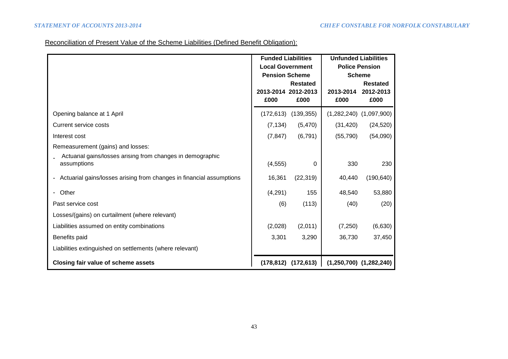# Reconciliation of Present Value of the Scheme Liabilities (Defined Benefit Obligation):

|                                                                                                 | <b>Funded Liabilities</b><br><b>Local Government</b><br><b>Pension Scheme</b> |                         | <b>Unfunded Liabilities</b><br><b>Police Pension</b><br><b>Scheme</b> |                                      |  |
|-------------------------------------------------------------------------------------------------|-------------------------------------------------------------------------------|-------------------------|-----------------------------------------------------------------------|--------------------------------------|--|
|                                                                                                 | 2013-2014 2012-2013<br>£000                                                   | <b>Restated</b><br>£000 | 2013-2014<br>£000                                                     | <b>Restated</b><br>2012-2013<br>£000 |  |
| Opening balance at 1 April                                                                      | (172, 613)                                                                    | (139, 355)              |                                                                       | $(1,282,240)$ $(1,097,900)$          |  |
| Current service costs                                                                           | (7, 134)                                                                      | (5,470)                 | (31, 420)                                                             | (24, 520)                            |  |
| Interest cost                                                                                   | (7, 847)                                                                      | (6, 791)                | (55, 790)                                                             | (54,090)                             |  |
| Remeasurement (gains) and losses:<br>Actuarial gains/losses arising from changes in demographic |                                                                               |                         |                                                                       |                                      |  |
| assumptions                                                                                     | (4, 555)                                                                      | 0                       | 330                                                                   | 230                                  |  |
| Actuarial gains/losses arising from changes in financial assumptions                            | 16,361                                                                        | (22, 319)               | 40,440                                                                | (190, 640)                           |  |
| Other                                                                                           | (4,291)                                                                       | 155                     | 48,540                                                                | 53,880                               |  |
| Past service cost                                                                               | (6)                                                                           | (113)                   | (40)                                                                  | (20)                                 |  |
| Losses/(gains) on curtailment (where relevant)                                                  |                                                                               |                         |                                                                       |                                      |  |
| Liabilities assumed on entity combinations                                                      | (2,028)                                                                       | (2,011)                 | (7,250)                                                               | (6,630)                              |  |
| Benefits paid                                                                                   | 3,301                                                                         | 3,290                   | 36,730                                                                | 37,450                               |  |
| Liabilities extinguished on settlements (where relevant)                                        |                                                                               |                         |                                                                       |                                      |  |
| Closing fair value of scheme assets                                                             | (178, 812)                                                                    | (172, 613)              |                                                                       | $(1,250,700)$ $(1,282,240)$          |  |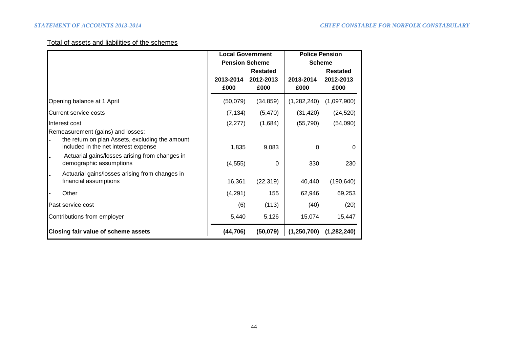# Total of assets and liabilities of the schemes

|                                                                                                                                                                                                           | <b>Local Government</b> |                   | <b>Police Pension</b>            |                   |  |
|-----------------------------------------------------------------------------------------------------------------------------------------------------------------------------------------------------------|-------------------------|-------------------|----------------------------------|-------------------|--|
|                                                                                                                                                                                                           | <b>Pension Scheme</b>   | <b>Restated</b>   | <b>Scheme</b><br><b>Restated</b> |                   |  |
|                                                                                                                                                                                                           | 2013-2014<br>£000       | 2012-2013<br>£000 | 2013-2014<br>£000                | 2012-2013<br>£000 |  |
| Opening balance at 1 April                                                                                                                                                                                | (50,079)                | (34, 859)         | (1,282,240)                      | (1,097,900)       |  |
| <b>Current service costs</b>                                                                                                                                                                              | (7, 134)                | (5,470)           | (31, 420)                        | (24, 520)         |  |
| Interest cost                                                                                                                                                                                             | (2, 277)                | (1,684)           | (55, 790)                        | (54,090)          |  |
| Remeasurement (gains) and losses:<br>the return on plan Assets, excluding the amount<br>included in the net interest expense<br>Actuarial gains/losses arising from changes in<br>demographic assumptions | 1,835<br>(4, 555)       | 9,083<br>$\Omega$ | $\mathbf{0}$<br>330              | 0<br>230          |  |
| Actuarial gains/losses arising from changes in<br>financial assumptions                                                                                                                                   | 16,361                  | (22, 319)         | 40,440                           | (190, 640)        |  |
| Other                                                                                                                                                                                                     | (4,291)                 | 155               | 62,946                           | 69,253            |  |
| Past service cost                                                                                                                                                                                         | (6)                     | (113)             | (40)                             | (20)              |  |
| Contributions from employer                                                                                                                                                                               | 5,440                   | 5,126             | 15,074                           | 15,447            |  |
| <b>Closing fair value of scheme assets</b>                                                                                                                                                                | (44, 706)               | (50,079)          | (1, 250, 700)                    | (1,282,240)       |  |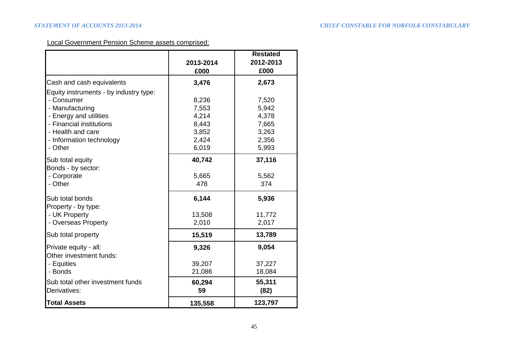## Local Government Pension Scheme assets comprised:

|                                                  | 2013-2014<br>£000 | <b>Restated</b><br>2012-2013<br>£000 |
|--------------------------------------------------|-------------------|--------------------------------------|
| Cash and cash equivalents                        | 3,476             | 2,673                                |
| Equity instruments - by industry type:           |                   |                                      |
| - Consumer                                       | 8,236             | 7,520                                |
| - Manufacturing                                  | 7,553             | 5,942                                |
| - Energy and utilities                           | 4,214             | 4,378                                |
| - Financial institutions                         | 8,443             | 7,665                                |
| - Health and care                                | 3,852             | 3,263                                |
| - Information technology                         | 2,424             | 2,356                                |
| - Other                                          | 6,019             | 5,993                                |
| Sub total equity<br>Bonds - by sector:           | 40,742            | 37,116                               |
| - Corporate                                      | 5,665             | 5,562                                |
| - Other                                          | 478               | 374                                  |
| Sub total bonds<br>Property - by type:           | 6,144             | 5,936                                |
| - UK Property                                    | 13,508            | 11,772                               |
| - Overseas Property                              | 2,010             | 2,017                                |
| Sub total property                               | 15,519            | 13,789                               |
| Private equity - all:<br>Other investment funds: | 9,326             | 9,054                                |
| - Equities                                       | 39,207            | 37,227                               |
| - Bonds                                          | 21,086            | 18,084                               |
| Sub total other investment funds                 | 60,294            | 55,311                               |
| Derivatives:                                     | 59                | (82)                                 |
| <b>Total Assets</b>                              | 135,558           | 123,797                              |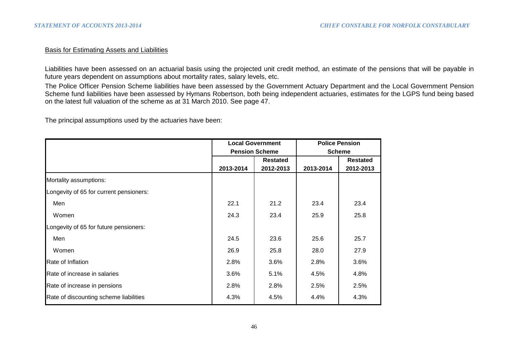### Basis for Estimating Assets and Liabilities

Liabilities have been assessed on an actuarial basis using the projected unit credit method, an estimate of the pensions that will be payable in future years dependent on assumptions about mortality rates, salary levels, etc.

The Police Officer Pension Scheme liabilities have been assessed by the Government Actuary Department and the Local Government Pension Scheme fund liabilities have been assessed by Hymans Robertson, both being independent actuaries, estimates for the LGPS fund being based on the latest full valuation of the scheme as at 31 March 2010. See page 47.

The principal assumptions used by the actuaries have been:

|                                         |           | <b>Local Government</b> | <b>Police Pension</b> |                 |  |  |
|-----------------------------------------|-----------|-------------------------|-----------------------|-----------------|--|--|
|                                         |           | <b>Pension Scheme</b>   | <b>Scheme</b>         |                 |  |  |
|                                         |           | <b>Restated</b>         |                       | <b>Restated</b> |  |  |
|                                         | 2013-2014 | 2012-2013               | 2013-2014             | 2012-2013       |  |  |
| Mortality assumptions:                  |           |                         |                       |                 |  |  |
| Longevity of 65 for current pensioners: |           |                         |                       |                 |  |  |
| Men                                     | 22.1      | 21.2                    | 23.4                  | 23.4            |  |  |
| Women                                   | 24.3      | 23.4                    | 25.9                  | 25.8            |  |  |
| Longevity of 65 for future pensioners:  |           |                         |                       |                 |  |  |
| Men                                     | 24.5      | 23.6                    | 25.6                  | 25.7            |  |  |
| Women                                   | 26.9      | 25.8                    | 28.0                  | 27.9            |  |  |
| Rate of Inflation                       | 2.8%      | $3.6\%$                 | 2.8%                  | 3.6%            |  |  |
| Rate of increase in salaries            | 3.6%      | 5.1%                    | 4.5%                  | 4.8%            |  |  |
| Rate of increase in pensions            | 2.8%      | 2.8%                    | 2.5%                  | 2.5%            |  |  |
| Rate of discounting scheme liabilities  | 4.3%      | 4.5%                    | 4.4%                  | 4.3%            |  |  |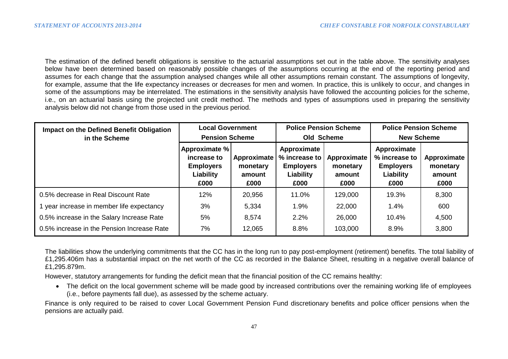The estimation of the defined benefit obligations is sensitive to the actuarial assumptions set out in the table above. The sensitivity analyses below have been determined based on reasonably possible changes of the assumptions occurring at the end of the reporting period and assumes for each change that the assumption analysed changes while all other assumptions remain constant. The assumptions of longevity, for example, assume that the life expectancy increases or decreases for men and women. In practice, this is unlikely to occur, and changes in some of the assumptions may be interrelated. The estimations in the sensitivity analysis have followed the accounting policies for the scheme, i.e., on an actuarial basis using the projected unit credit method. The methods and types of assumptions used in preparing the sensitivity analysis below did not change from those used in the previous period.

| <b>Impact on the Defined Benefit Obligation</b><br>in the Scheme | <b>Local Government</b><br><b>Pension Scheme</b>                      |                                           | <b>Police Pension Scheme</b><br>Old Scheme                            |                                           | <b>Police Pension Scheme</b><br><b>New Scheme</b>                     |                                           |
|------------------------------------------------------------------|-----------------------------------------------------------------------|-------------------------------------------|-----------------------------------------------------------------------|-------------------------------------------|-----------------------------------------------------------------------|-------------------------------------------|
|                                                                  | Approximate %<br>increase to<br><b>Employers</b><br>Liability<br>£000 | Approximate<br>monetary<br>amount<br>£000 | Approximate<br>% increase to<br><b>Employers</b><br>Liability<br>£000 | Approximate<br>monetary<br>amount<br>£000 | Approximate<br>% increase to<br><b>Employers</b><br>Liability<br>£000 | Approximate<br>monetary<br>amount<br>£000 |
| 0.5% decrease in Real Discount Rate                              | 12%                                                                   | 20,956                                    | 11.0%                                                                 | 129,000                                   | 19.3%                                                                 | 8,300                                     |
| 1 year increase in member life expectancy                        | 3%                                                                    | 5,334                                     | 1.9%                                                                  | 22,000                                    | 1.4%                                                                  | 600                                       |
| 0.5% increase in the Salary Increase Rate                        | 5%                                                                    | 8,574                                     | 2.2%                                                                  | 26,000                                    | 10.4%                                                                 | 4,500                                     |
| 0.5% increase in the Pension Increase Rate                       | 7%                                                                    | 12,065                                    | 8.8%                                                                  | 103,000                                   | 8.9%                                                                  | 3,800                                     |

The liabilities show the underlying commitments that the CC has in the long run to pay post-employment (retirement) benefits. The total liability of £1,295.406m has a substantial impact on the net worth of the CC as recorded in the Balance Sheet, resulting in a negative overall balance of £1,295.879m.

However, statutory arrangements for funding the deficit mean that the financial position of the CC remains healthy:

• The deficit on the local government scheme will be made good by increased contributions over the remaining working life of employees (i.e., before payments fall due), as assessed by the scheme actuary.

Finance is only required to be raised to cover Local Government Pension Fund discretionary benefits and police officer pensions when the pensions are actually paid.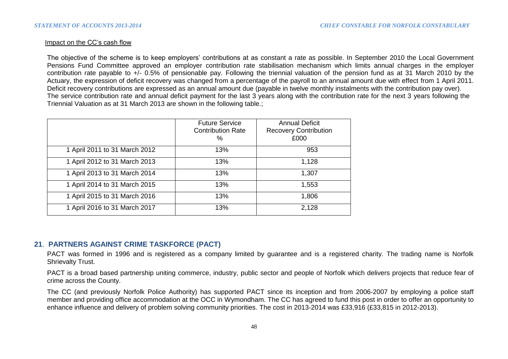### Impact on the CC's cash flow

The objective of the scheme is to keep employers' contributions at as constant a rate as possible. In September 2010 the Local Government Pensions Fund Committee approved an employer contribution rate stabilisation mechanism which limits annual charges in the employer contribution rate payable to +/- 0.5% of pensionable pay. Following the triennial valuation of the pension fund as at 31 March 2010 by the Actuary, the expression of deficit recovery was changed from a percentage of the payroll to an annual amount due with effect from 1 April 2011. Deficit recovery contributions are expressed as an annual amount due (payable in twelve monthly instalments with the contribution pay over). The service contribution rate and annual deficit payment for the last 3 years along with the contribution rate for the next 3 years following the Triennial Valuation as at 31 March 2013 are shown in the following table.;

|                               | <b>Future Service</b><br><b>Contribution Rate</b><br>% | <b>Annual Deficit</b><br><b>Recovery Contribution</b><br>£000 |
|-------------------------------|--------------------------------------------------------|---------------------------------------------------------------|
| 1 April 2011 to 31 March 2012 | 13%                                                    | 953                                                           |
| 1 April 2012 to 31 March 2013 | 13%                                                    | 1,128                                                         |
| 1 April 2013 to 31 March 2014 | 13%                                                    | 1,307                                                         |
| 1 April 2014 to 31 March 2015 | 13%                                                    | 1,553                                                         |
| 1 April 2015 to 31 March 2016 | 13%                                                    | 1,806                                                         |
| 1 April 2016 to 31 March 2017 | 13%                                                    | 2,128                                                         |

## **21**. **PARTNERS AGAINST CRIME TASKFORCE (PACT)**

PACT was formed in 1996 and is registered as a company limited by guarantee and is a registered charity. The trading name is Norfolk Shrievalty Trust.

PACT is a broad based partnership uniting commerce, industry, public sector and people of Norfolk which delivers projects that reduce fear of crime across the County.

The CC (and previously Norfolk Police Authority) has supported PACT since its inception and from 2006-2007 by employing a police staff member and providing office accommodation at the OCC in Wymondham. The CC has agreed to fund this post in order to offer an opportunity to enhance influence and delivery of problem solving community priorities. The cost in 2013-2014 was £33,916 (£33,815 in 2012-2013).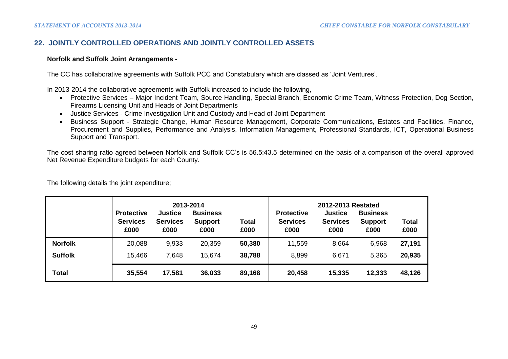## **22. JOINTLY CONTROLLED OPERATIONS AND JOINTLY CONTROLLED ASSETS**

### **Norfolk and Suffolk Joint Arrangements -**

The CC has collaborative agreements with Suffolk PCC and Constabulary which are classed as 'Joint Ventures'.

In 2013-2014 the collaborative agreements with Suffolk increased to include the following,

- Protective Services Major Incident Team, Source Handling, Special Branch, Economic Crime Team, Witness Protection, Dog Section, Firearms Licensing Unit and Heads of Joint Departments
- Justice Services Crime Investigation Unit and Custody and Head of Joint Department
- Business Support Strategic Change, Human Resource Management, Corporate Communications, Estates and Facilities, Finance, Procurement and Supplies, Performance and Analysis, Information Management, Professional Standards, ICT, Operational Business Support and Transport.

The cost sharing ratio agreed between Norfolk and Suffolk CC's is 56.5:43.5 determined on the basis of a comparison of the overall approved Net Revenue Expenditure budgets for each County.

|                | <b>Protective</b><br><b>Services</b><br>£000 | <b>Justice</b><br><b>Services</b><br>£000 | 2013-2014<br><b>Business</b><br><b>Support</b><br>£000 | Total<br>£000 | <b>Protective</b><br><b>Services</b><br>£000 | 2012-2013 Restated<br><b>Justice</b><br><b>Services</b><br>£000 | <b>Business</b><br><b>Support</b><br>£000 | <b>Total</b><br>£000 |
|----------------|----------------------------------------------|-------------------------------------------|--------------------------------------------------------|---------------|----------------------------------------------|-----------------------------------------------------------------|-------------------------------------------|----------------------|
| <b>Norfolk</b> | 20,088                                       | 9,933                                     | 20,359                                                 | 50,380        | 11,559                                       | 8,664                                                           | 6,968                                     | 27,191               |
| <b>Suffolk</b> | 15,466                                       | 7,648                                     | 15,674                                                 | 38,788        | 8,899                                        | 6,671                                                           | 5,365                                     | 20,935               |
| Total          | 35,554                                       | 17,581                                    | 36,033                                                 | 89,168        | 20,458                                       | 15,335                                                          | 12,333                                    | 48,126               |

The following details the joint expenditure;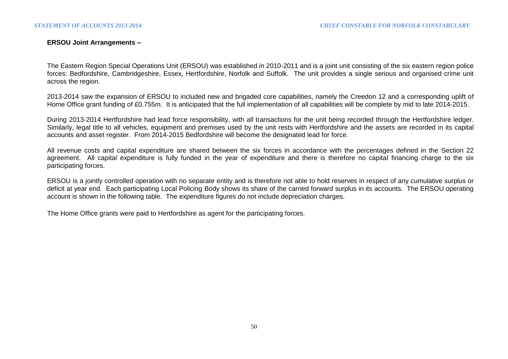### **ERSOU Joint Arrangements –**

The Eastern Region Special Operations Unit (ERSOU) was established in 2010-2011 and is a joint unit consisting of the six eastern region police forces: Bedfordshire, Cambridgeshire, Essex, Hertfordshire, Norfolk and Suffolk. The unit provides a single serious and organised crime unit across the region.

2013-2014 saw the expansion of ERSOU to included new and brigaded core capabilities, namely the Creedon 12 and a corresponding uplift of Home Office grant funding of £0.755m. It is anticipated that the full implementation of all capabilities will be complete by mid to late 2014-2015.

During 2013-2014 Hertfordshire had lead force responsibility, with all transactions for the unit being recorded through the Hertfordshire ledger. Similarly, legal title to all vehicles, equipment and premises used by the unit rests with Hertfordshire and the assets are recorded in its capital accounts and asset register. From 2014-2015 Bedfordshire will become the designated lead for force.

All revenue costs and capital expenditure are shared between the six forces in accordance with the percentages defined in the Section 22 agreement. All capital expenditure is fully funded in the year of expenditure and there is therefore no capital financing charge to the six participating forces.

ERSOU is a jointly controlled operation with no separate entity and is therefore not able to hold reserves in respect of any cumulative surplus or deficit at year end. Each participating Local Policing Body shows its share of the carried forward surplus in its accounts. The ERSOU operating account is shown in the following table. The expenditure figures do not include depreciation charges.

The Home Office grants were paid to Hertfordshire as agent for the participating forces.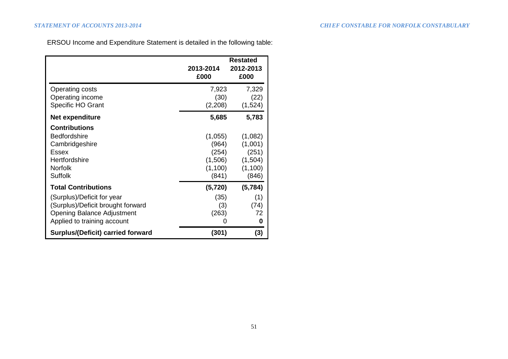ERSOU Income and Expenditure Statement is detailed in the following table:

|                                                                                                                                     | 2013-2014<br>£000                                        | <b>Restated</b><br>2012-2013<br>£000                       |
|-------------------------------------------------------------------------------------------------------------------------------------|----------------------------------------------------------|------------------------------------------------------------|
| <b>Operating costs</b><br>Operating income<br>Specific HO Grant                                                                     | 7,923<br>(30)<br>(2,208)                                 | 7,329<br>(22)<br>(1,524)                                   |
| <b>Net expenditure</b>                                                                                                              | 5,685                                                    | 5,783                                                      |
| <b>Contributions</b><br><b>Bedfordshire</b><br>Cambridgeshire<br>Essex<br>Hertfordshire<br>Norfolk<br><b>Suffolk</b>                | (1,055)<br>(964)<br>(254)<br>(1,506)<br>(1,100)<br>(841) | (1,082)<br>(1,001)<br>(251)<br>(1,504)<br>(1,100)<br>(846) |
| <b>Total Contributions</b>                                                                                                          | (5, 720)                                                 | (5,784)                                                    |
| (Surplus)/Deficit for year<br>(Surplus)/Deficit brought forward<br><b>Opening Balance Adjustment</b><br>Applied to training account | (35)<br>(3)<br>(263)<br>0                                | (1)<br>(74)<br>72<br>0                                     |
| <b>Surplus/(Deficit) carried forward</b>                                                                                            | (301)                                                    | (3)                                                        |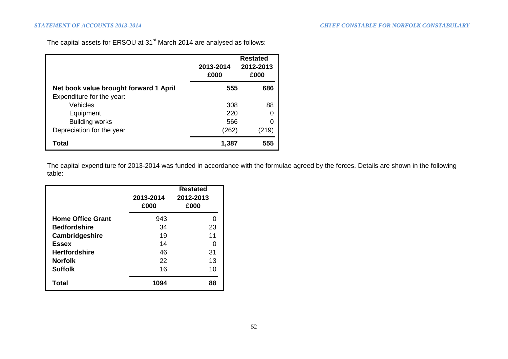The capital assets for ERSOU at 31<sup>st</sup> March 2014 are analysed as follows:

|                                        | 2013-2014<br>£000 | <b>Restated</b><br>2012-2013<br>£000 |
|----------------------------------------|-------------------|--------------------------------------|
| Net book value brought forward 1 April | 555               | 686                                  |
| Expenditure for the year:              |                   |                                      |
| Vehicles                               | 308               | 88                                   |
| Equipment                              | 220               | 0                                    |
| <b>Building works</b>                  | 566               | 0                                    |
| Depreciation for the year              | (262)             | (219)                                |
| Total                                  | 1,387             | 555                                  |

The capital expenditure for 2013-2014 was funded in accordance with the formulae agreed by the forces. Details are shown in the following table:

|                          | <b>Restated</b><br>2012-2013<br>2013-2014<br>£000<br>£000 |    |  |
|--------------------------|-----------------------------------------------------------|----|--|
| <b>Home Office Grant</b> | 943                                                       |    |  |
| <b>Bedfordshire</b>      | 34                                                        | 23 |  |
| Cambridgeshire           | 19                                                        | 11 |  |
| <b>Essex</b>             | 14                                                        |    |  |
| <b>Hertfordshire</b>     | 46                                                        | 31 |  |
| <b>Norfolk</b>           | 22                                                        | 13 |  |
| <b>Suffolk</b>           | 16                                                        | 10 |  |
| Total                    | 1094                                                      | 88 |  |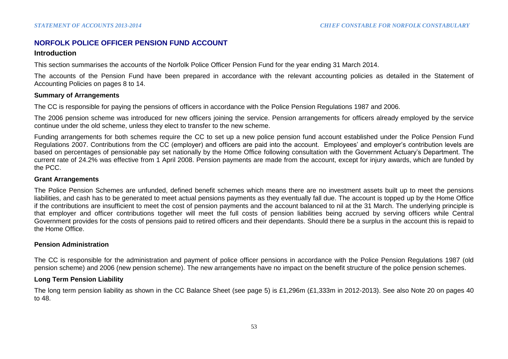## **NORFOLK POLICE OFFICER PENSION FUND ACCOUNT**

#### **Introduction**

This section summarises the accounts of the Norfolk Police Officer Pension Fund for the year ending 31 March 2014.

The accounts of the Pension Fund have been prepared in accordance with the relevant accounting policies as detailed in the Statement of Accounting Policies on pages 8 to 14.

### **Summary of Arrangements**

The CC is responsible for paying the pensions of officers in accordance with the Police Pension Regulations 1987 and 2006.

The 2006 pension scheme was introduced for new officers joining the service. Pension arrangements for officers already employed by the service continue under the old scheme, unless they elect to transfer to the new scheme.

Funding arrangements for both schemes require the CC to set up a new police pension fund account established under the Police Pension Fund Regulations 2007. Contributions from the CC (employer) and officers are paid into the account. Employees' and employer's contribution levels are based on percentages of pensionable pay set nationally by the Home Office following consultation with the Government Actuary's Department. The current rate of 24.2% was effective from 1 April 2008. Pension payments are made from the account, except for injury awards, which are funded by the PCC.

### **Grant Arrangements**

The Police Pension Schemes are unfunded, defined benefit schemes which means there are no investment assets built up to meet the pensions liabilities, and cash has to be generated to meet actual pensions payments as they eventually fall due. The account is topped up by the Home Office if the contributions are insufficient to meet the cost of pension payments and the account balanced to nil at the 31 March. The underlying principle is that employer and officer contributions together will meet the full costs of pension liabilities being accrued by serving officers while Central Government provides for the costs of pensions paid to retired officers and their dependants. Should there be a surplus in the account this is repaid to the Home Office.

### **Pension Administration**

The CC is responsible for the administration and payment of police officer pensions in accordance with the Police Pension Regulations 1987 (old pension scheme) and 2006 (new pension scheme). The new arrangements have no impact on the benefit structure of the police pension schemes.

### **Long Term Pension Liability**

The long term pension liability as shown in the CC Balance Sheet (see page 5) is £1,296m (£1,333m in 2012-2013). See also Note 20 on pages 40 to 48.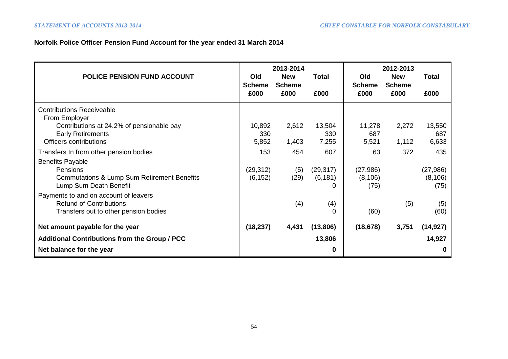# **Norfolk Police Officer Pension Fund Account for the year ended 31 March 2014**

| <b>POLICE PENSION FUND ACCOUNT</b>                                                                                      | Old                    | 2013-2014<br><b>New</b> | <b>Total</b>           | Old                           | 2012-2013<br><b>New</b> | Total                        |
|-------------------------------------------------------------------------------------------------------------------------|------------------------|-------------------------|------------------------|-------------------------------|-------------------------|------------------------------|
|                                                                                                                         | <b>Scheme</b><br>£000  | <b>Scheme</b><br>£000   | £000                   | <b>Scheme</b><br>£000         | <b>Scheme</b><br>£000   | £000                         |
| <b>Contributions Receiveable</b><br>From Employer                                                                       |                        |                         |                        |                               |                         |                              |
| Contributions at 24.2% of pensionable pay<br><b>Early Retirements</b><br>Officers contributions                         | 10,892<br>330<br>5,852 | 2,612<br>1,403          | 13,504<br>330<br>7,255 | 11,278<br>687<br>5,521        | 2,272<br>1,112          | 13,550<br>687<br>6,633       |
| Transfers In from other pension bodies                                                                                  | 153                    | 454                     | 607                    | 63                            | 372                     | 435                          |
| <b>Benefits Payable</b><br>Pensions<br><b>Commutations &amp; Lump Sum Retirement Benefits</b><br>Lump Sum Death Benefit | (29, 312)<br>(6, 152)  | (5)<br>(29)             | (29, 317)<br>(6, 181)  | (27, 986)<br>(8, 106)<br>(75) |                         | (27,986)<br>(8, 106)<br>(75) |
| Payments to and on account of leavers<br><b>Refund of Contributions</b><br>Transfers out to other pension bodies        |                        | (4)                     | (4)<br>$\Omega$        | (60)                          | (5)                     | (5)<br>(60)                  |
| Net amount payable for the year                                                                                         | (18, 237)              | 4,431                   | (13,806)               | (18, 678)                     | 3,751                   | (14, 927)                    |
| <b>Additional Contributions from the Group / PCC</b>                                                                    |                        |                         | 13,806                 |                               |                         | 14,927                       |
| Net balance for the year                                                                                                |                        |                         | 0                      |                               |                         | 0                            |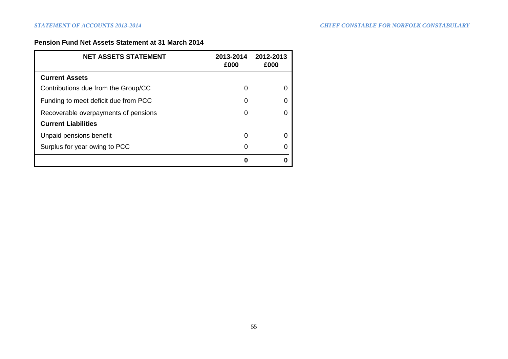## **Pension Fund Net Assets Statement at 31 March 2014**

| <b>NET ASSETS STATEMENT</b>          | 2013-2014<br>£000 | 2012-2013<br>£000 |
|--------------------------------------|-------------------|-------------------|
| <b>Current Assets</b>                |                   |                   |
| Contributions due from the Group/CC  | O                 |                   |
| Funding to meet deficit due from PCC | 0                 |                   |
| Recoverable overpayments of pensions | 0                 |                   |
| <b>Current Liabilities</b>           |                   |                   |
| Unpaid pensions benefit              | 0                 |                   |
| Surplus for year owing to PCC        | 0                 |                   |
|                                      | Λ                 |                   |